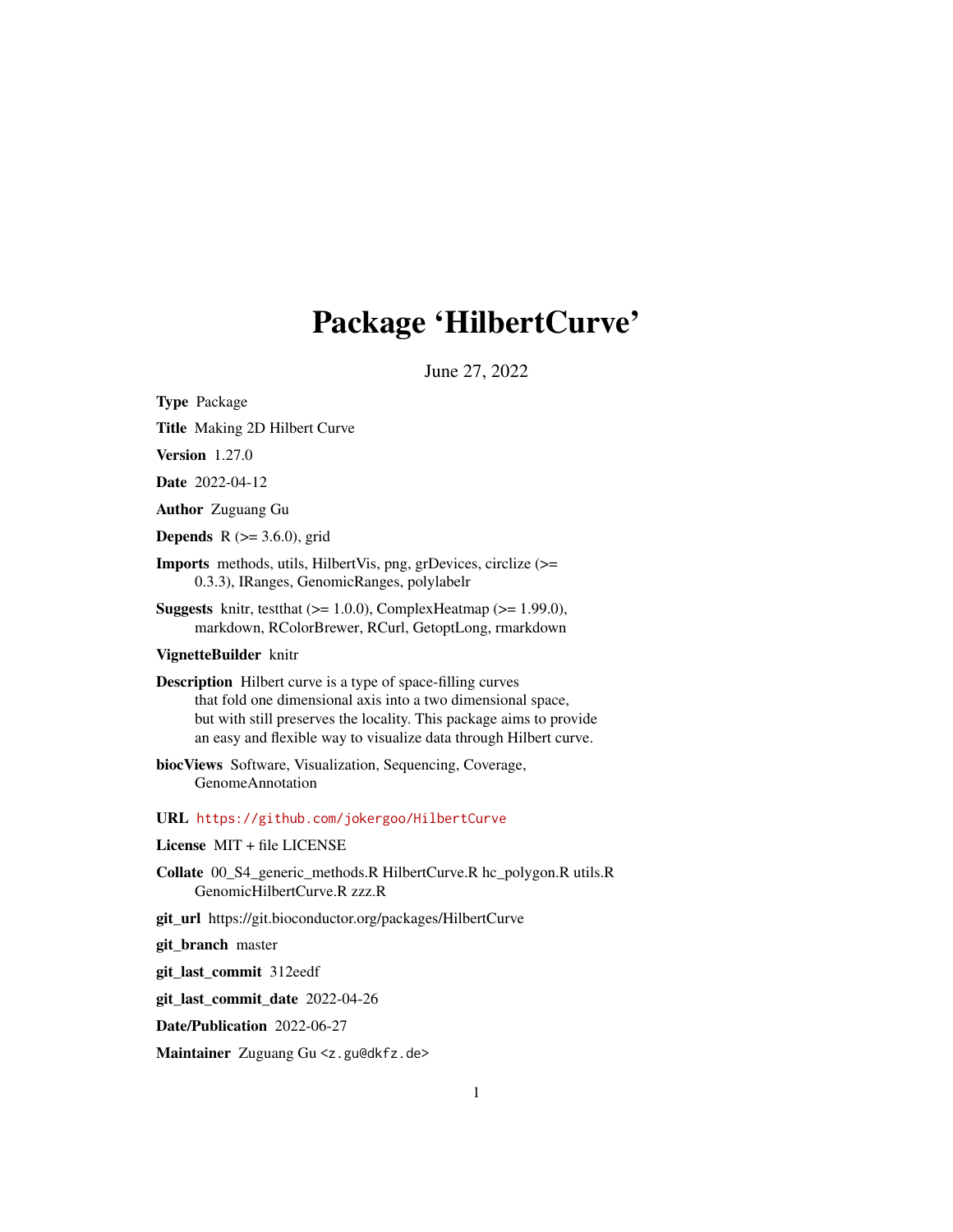# Package 'HilbertCurve'

June 27, 2022

<span id="page-0-0"></span>Type Package

Title Making 2D Hilbert Curve

Version 1.27.0

Date 2022-04-12

Author Zuguang Gu

**Depends** R  $(>= 3.6.0)$ , grid

Imports methods, utils, HilbertVis, png, grDevices, circlize (>= 0.3.3), IRanges, GenomicRanges, polylabelr

**Suggests** knitr, test that  $(>= 1.0.0)$ , Complex Heatmap  $(>= 1.99.0)$ , markdown, RColorBrewer, RCurl, GetoptLong, rmarkdown

#### VignetteBuilder knitr

Description Hilbert curve is a type of space-filling curves that fold one dimensional axis into a two dimensional space, but with still preserves the locality. This package aims to provide an easy and flexible way to visualize data through Hilbert curve.

biocViews Software, Visualization, Sequencing, Coverage, GenomeAnnotation

URL <https://github.com/jokergoo/HilbertCurve>

#### License MIT + file LICENSE

Collate 00\_S4\_generic\_methods.R HilbertCurve.R hc\_polygon.R utils.R GenomicHilbertCurve.R zzz.R

git\_url https://git.bioconductor.org/packages/HilbertCurve

git\_branch master

git\_last\_commit 312eedf

git\_last\_commit\_date 2022-04-26

Date/Publication 2022-06-27

Maintainer Zuguang Gu <z.gu@dkfz.de>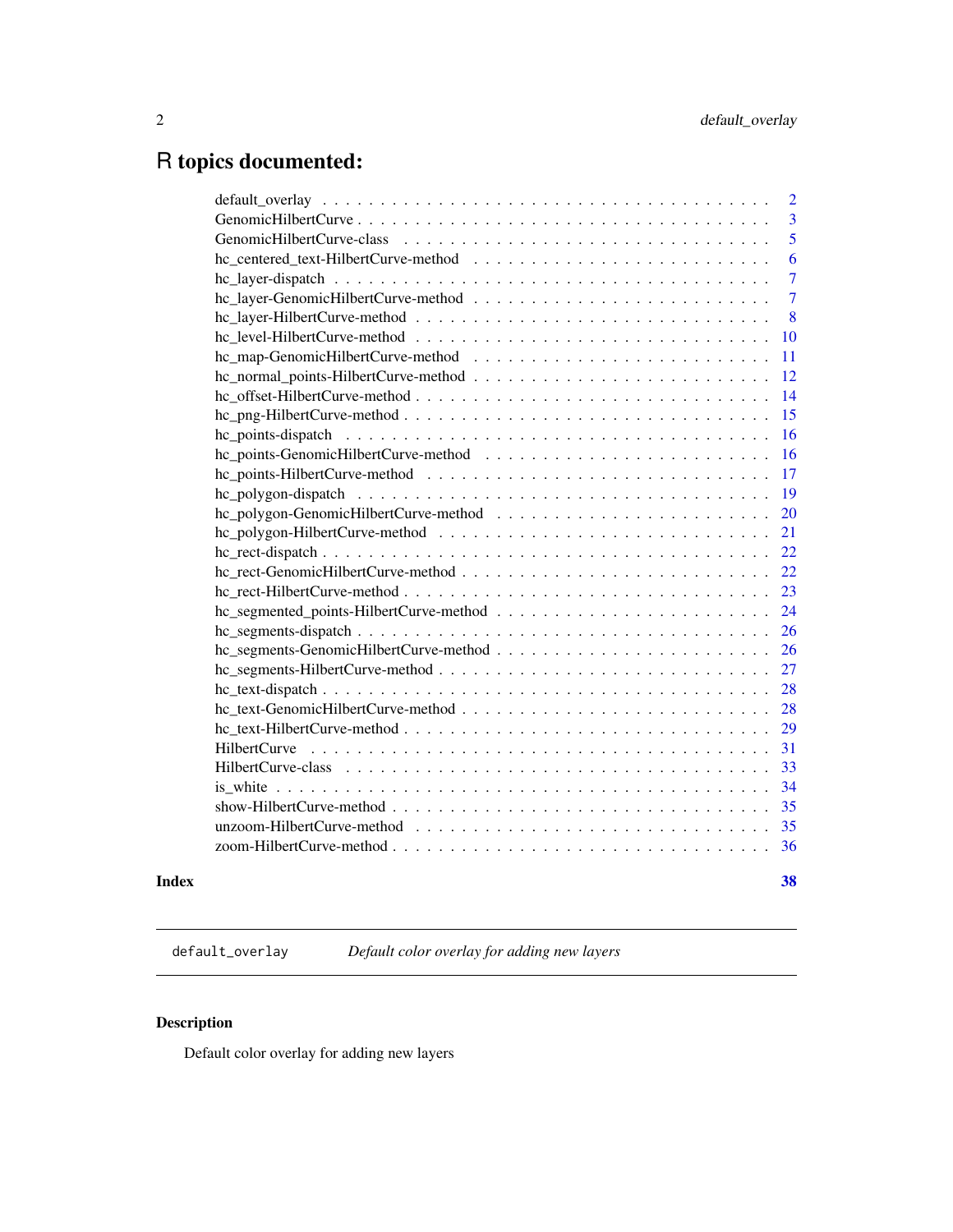## <span id="page-1-0"></span>R topics documented:

| $\overline{2}$                                                                                                              |
|-----------------------------------------------------------------------------------------------------------------------------|
| 3                                                                                                                           |
| 5                                                                                                                           |
| 6                                                                                                                           |
| $\overline{7}$                                                                                                              |
| $\overline{7}$                                                                                                              |
| 8                                                                                                                           |
| 10                                                                                                                          |
| 11                                                                                                                          |
| 12                                                                                                                          |
| 14                                                                                                                          |
| 15                                                                                                                          |
| 16                                                                                                                          |
| 16                                                                                                                          |
| 17                                                                                                                          |
| 19                                                                                                                          |
| 20                                                                                                                          |
| 21                                                                                                                          |
| $hc\_rect\text{-}dispatch \ldots \ldots \ldots \ldots \ldots \ldots \ldots \ldots \ldots \ldots \ldots \ldots \ldots$<br>22 |
| 22                                                                                                                          |
| 23                                                                                                                          |
| 24                                                                                                                          |
| 26                                                                                                                          |
| 26                                                                                                                          |
| 27                                                                                                                          |
| 28                                                                                                                          |
| 28                                                                                                                          |
| 29                                                                                                                          |
| 31                                                                                                                          |
| 33                                                                                                                          |
| 34                                                                                                                          |
| 35                                                                                                                          |
| 35                                                                                                                          |
| 36                                                                                                                          |
|                                                                                                                             |

#### **Index** [38](#page-37-0)

<span id="page-1-1"></span>default\_overlay *Default color overlay for adding new layers*

## Description

Default color overlay for adding new layers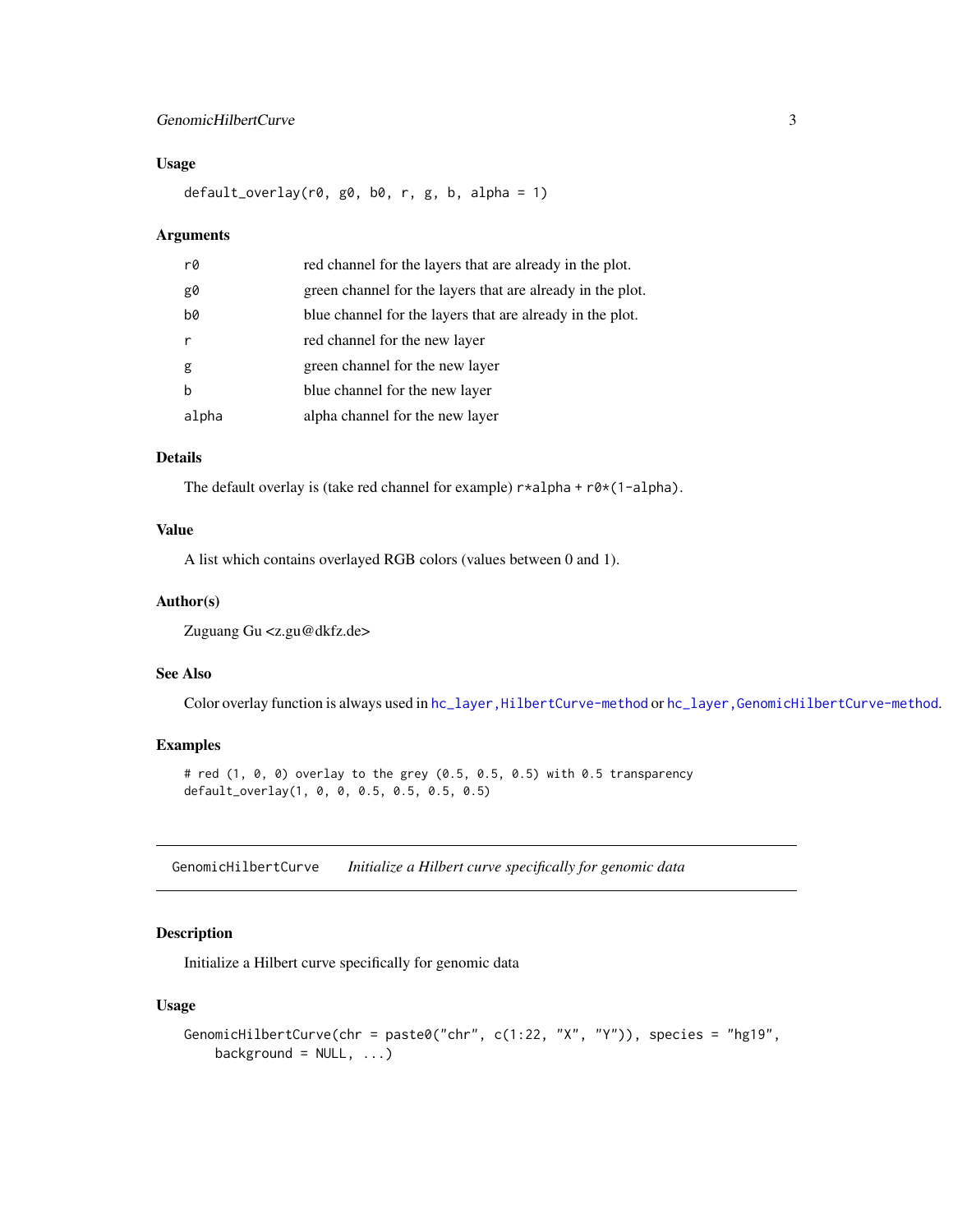## <span id="page-2-0"></span>GenomicHilbertCurve 3

## Usage

default\_overlay(r0, g0, b0, r, g, b, alpha = 1)

#### Arguments

| r0    | red channel for the layers that are already in the plot.   |
|-------|------------------------------------------------------------|
| g0    | green channel for the layers that are already in the plot. |
| b0    | blue channel for the layers that are already in the plot.  |
|       | red channel for the new layer                              |
| g     | green channel for the new layer                            |
| b     | blue channel for the new layer                             |
| alpha | alpha channel for the new layer                            |

#### Details

The default overlay is (take red channel for example)  $r * alpha + r0 * (1 - alpha)$ .

#### Value

A list which contains overlayed RGB colors (values between 0 and 1).

#### Author(s)

Zuguang Gu <z.gu@dkfz.de>

#### See Also

Color overlay function is always used in hc\_layer, HilbertCurve-method or [hc\\_layer,GenomicHilbertCurve-method](#page-0-0).

## Examples

# red (1, 0, 0) overlay to the grey (0.5, 0.5, 0.5) with 0.5 transparency default\_overlay(1, 0, 0, 0.5, 0.5, 0.5, 0.5)

<span id="page-2-1"></span>GenomicHilbertCurve *Initialize a Hilbert curve specifically for genomic data*

## Description

Initialize a Hilbert curve specifically for genomic data

#### Usage

```
GenomicHilbertCurve(chr = paste0("chr", c(1:22, "X", "Y")), species = "hg19",
   background = NULL, ...)
```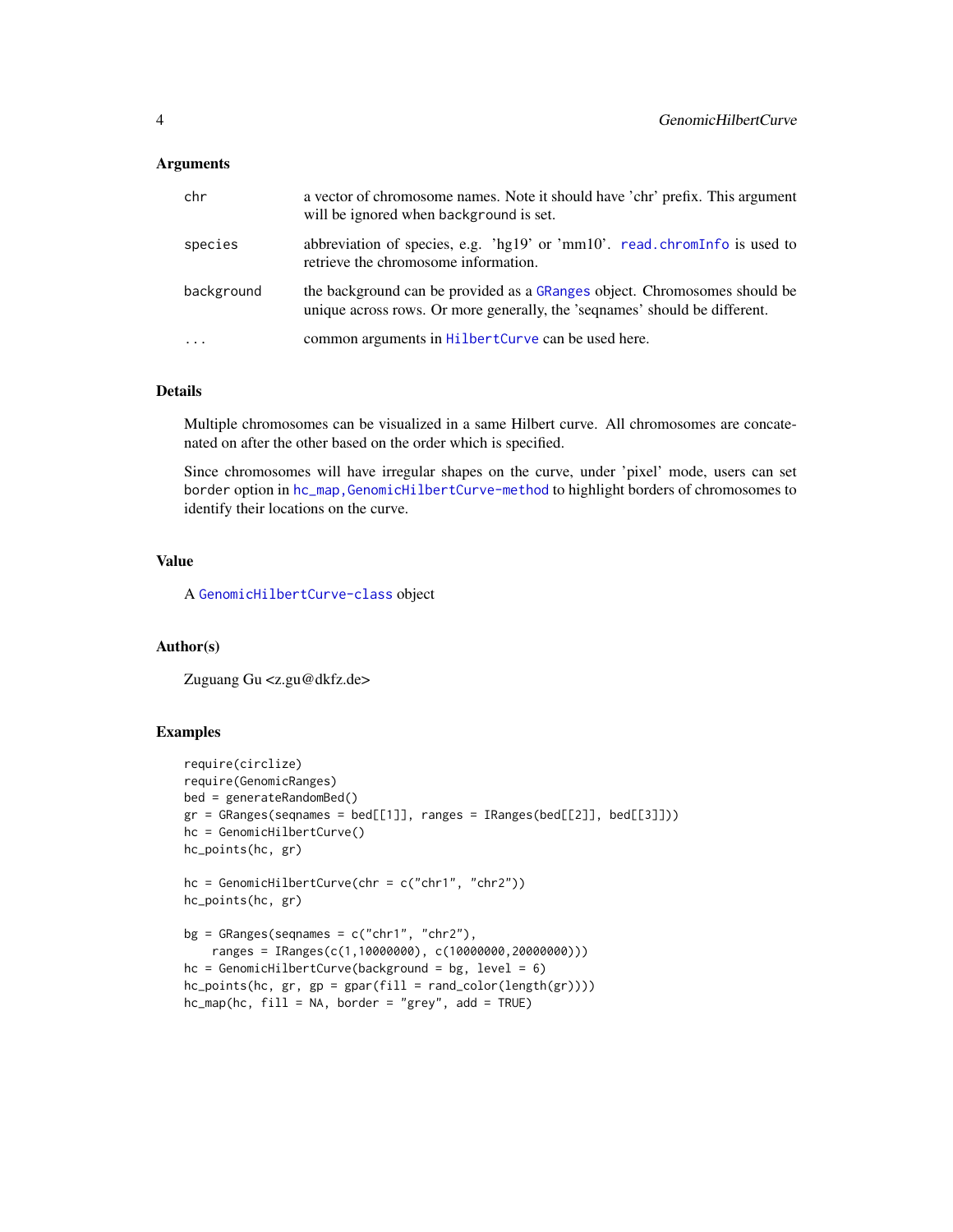#### <span id="page-3-0"></span>**Arguments**

| chr        | a vector of chromosome names. Note it should have 'chr' prefix. This argument<br>will be ignored when background is set.                                |
|------------|---------------------------------------------------------------------------------------------------------------------------------------------------------|
| species    | abbreviation of species, e.g. 'hg19' or 'mm10'. read.chromInfo is used to<br>retrieve the chromosome information.                                       |
| background | the background can be provided as a GRanges object. Chromosomes should be<br>unique across rows. Or more generally, the 'sequames' should be different. |
| $\cdot$    | common arguments in HilbertCurve can be used here.                                                                                                      |

#### Details

Multiple chromosomes can be visualized in a same Hilbert curve. All chromosomes are concatenated on after the other based on the order which is specified.

Since chromosomes will have irregular shapes on the curve, under 'pixel' mode, users can set border option in hc\_map, GenomicHilbertCurve-method to highlight borders of chromosomes to identify their locations on the curve.

## Value

A [GenomicHilbertCurve-class](#page-4-1) object

#### Author(s)

Zuguang Gu <z.gu@dkfz.de>

## Examples

```
require(circlize)
require(GenomicRanges)
bed = generateRandomBed()
gr = GRanges(seqnames = bed[[1]], ranges = IRanges(bed[[2]], bed[[3]]))hc = GenomicHilbertCurve()
hc_points(hc, gr)
hc = GenomicHilbertCurve(chr = c("chr1", "chr2"))hc_points(hc, gr)
bg = GRanges(seqnames = c("chr1", "chr2"),
    ranges = IRanges(c(1,10000000), c(10000000,20000000)))
hc = GenomicHilbertCurve(background = bg, level = 6)hc\_points(hc, gr, gp = gpar(fill = rand\_color(length(gr))))hc_{map}(hc, fill = NA, border = "grey", add = TRUE)
```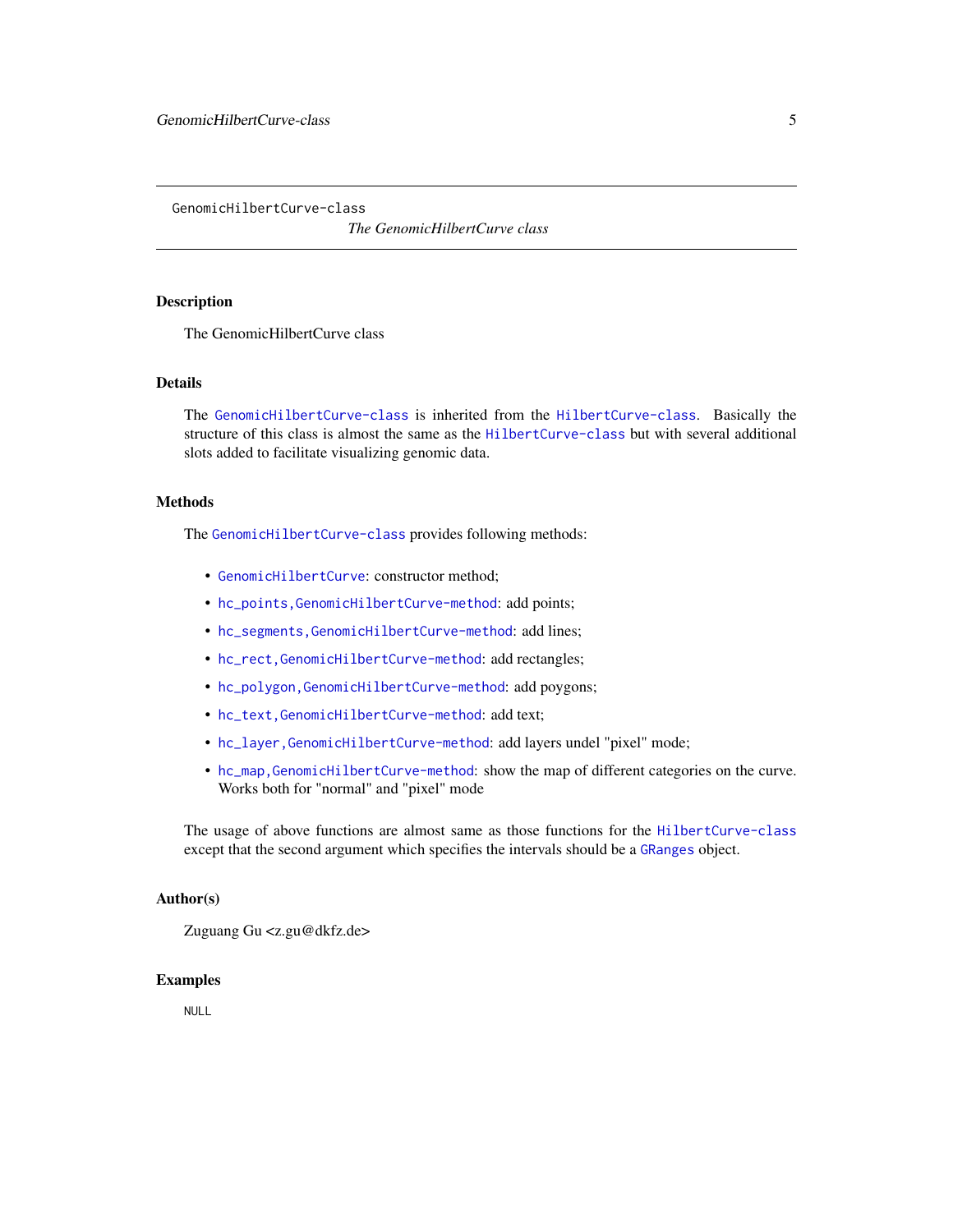<span id="page-4-1"></span><span id="page-4-0"></span>GenomicHilbertCurve-class

*The GenomicHilbertCurve class*

### Description

The GenomicHilbertCurve class

#### **Details**

The [GenomicHilbertCurve-class](#page-4-1) is inherited from the [HilbertCurve-class](#page-32-1). Basically the structure of this class is almost the same as the [HilbertCurve-class](#page-32-1) but with several additional slots added to facilitate visualizing genomic data.

## Methods

The [GenomicHilbertCurve-class](#page-4-1) provides following methods:

- [GenomicHilbertCurve](#page-2-1): constructor method;
- [hc\\_points,GenomicHilbertCurve-method](#page-0-0): add points;
- [hc\\_segments,GenomicHilbertCurve-method](#page-0-0): add lines;
- [hc\\_rect,GenomicHilbertCurve-method](#page-0-0): add rectangles;
- [hc\\_polygon,GenomicHilbertCurve-method](#page-0-0): add poygons;
- [hc\\_text,GenomicHilbertCurve-method](#page-0-0): add text;
- [hc\\_layer,GenomicHilbertCurve-method](#page-0-0): add layers undel "pixel" mode;
- [hc\\_map,GenomicHilbertCurve-method](#page-0-0): show the map of different categories on the curve. Works both for "normal" and "pixel" mode

The usage of above functions are almost same as those functions for the [HilbertCurve-class](#page-32-1) except that the second argument which specifies the intervals should be a [GRanges](#page-0-0) object.

#### Author(s)

Zuguang Gu <z.gu@dkfz.de>

#### Examples

NULL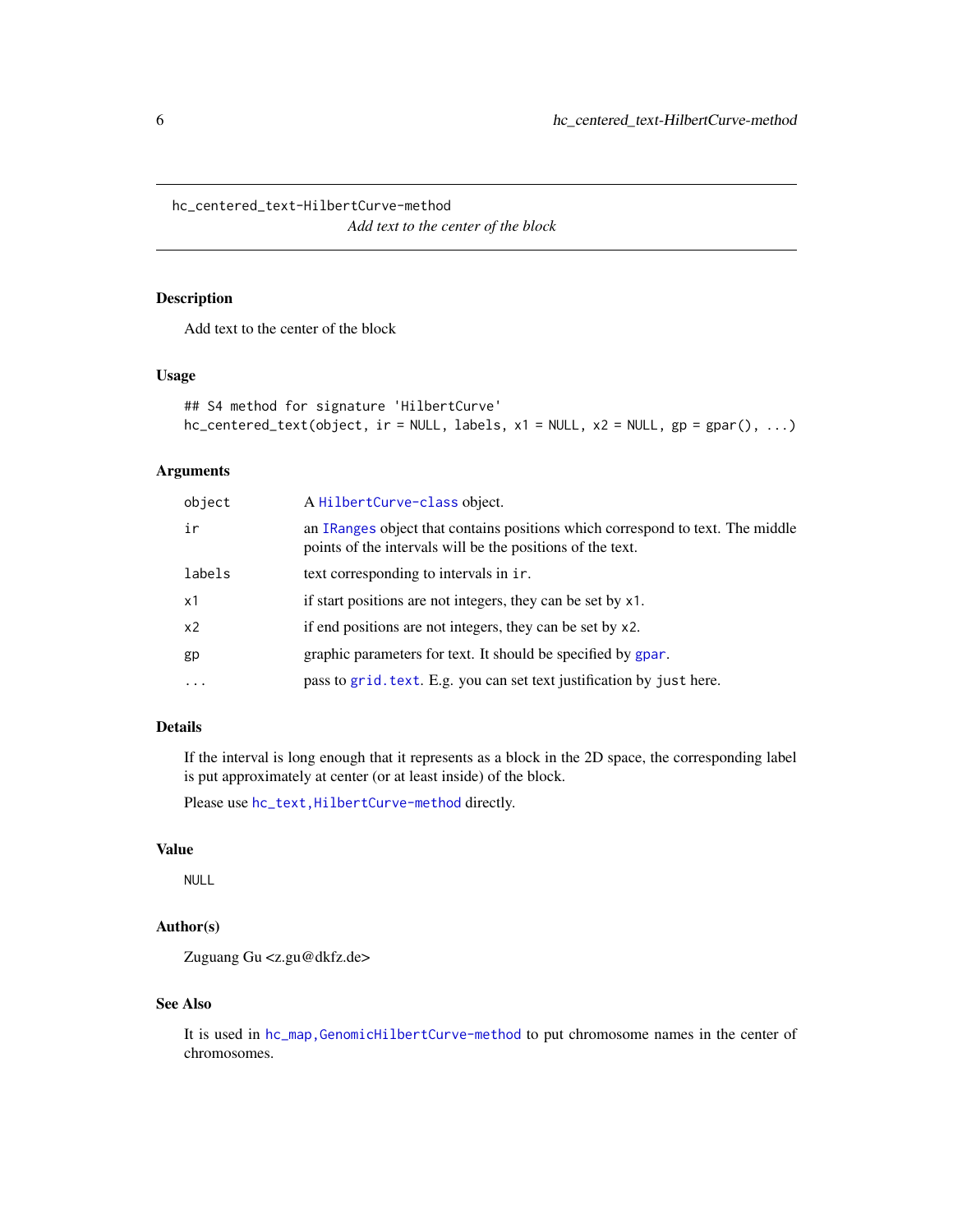<span id="page-5-0"></span>hc\_centered\_text-HilbertCurve-method

*Add text to the center of the block*

## Description

Add text to the center of the block

#### Usage

```
## S4 method for signature 'HilbertCurve'
hc_{\text{centered\_text(object, ir = NULL, labels, x1 = NULL, x2 = NULL, gp = gapar(), ...})
```
## Arguments

| object   | A HilbertCurve-class object.                                                                                                                 |
|----------|----------------------------------------------------------------------------------------------------------------------------------------------|
| ir       | an IRanges object that contains positions which correspond to text. The middle<br>points of the intervals will be the positions of the text. |
| labels   | text corresponding to intervals in ir.                                                                                                       |
| x1       | if start positions are not integers, they can be set by x1.                                                                                  |
| x2       | if end positions are not integers, they can be set by x2.                                                                                    |
| gp       | graphic parameters for text. It should be specified by gpar.                                                                                 |
| $\cdots$ | pass to grid. text. E.g. you can set text justification by just here.                                                                        |

## Details

If the interval is long enough that it represents as a block in the 2D space, the corresponding label is put approximately at center (or at least inside) of the block.

Please use hc\_text, HilbertCurve-method directly.

## Value

NULL

## Author(s)

Zuguang Gu <z.gu@dkfz.de>

## See Also

It is used in [hc\\_map,GenomicHilbertCurve-method](#page-0-0) to put chromosome names in the center of chromosomes.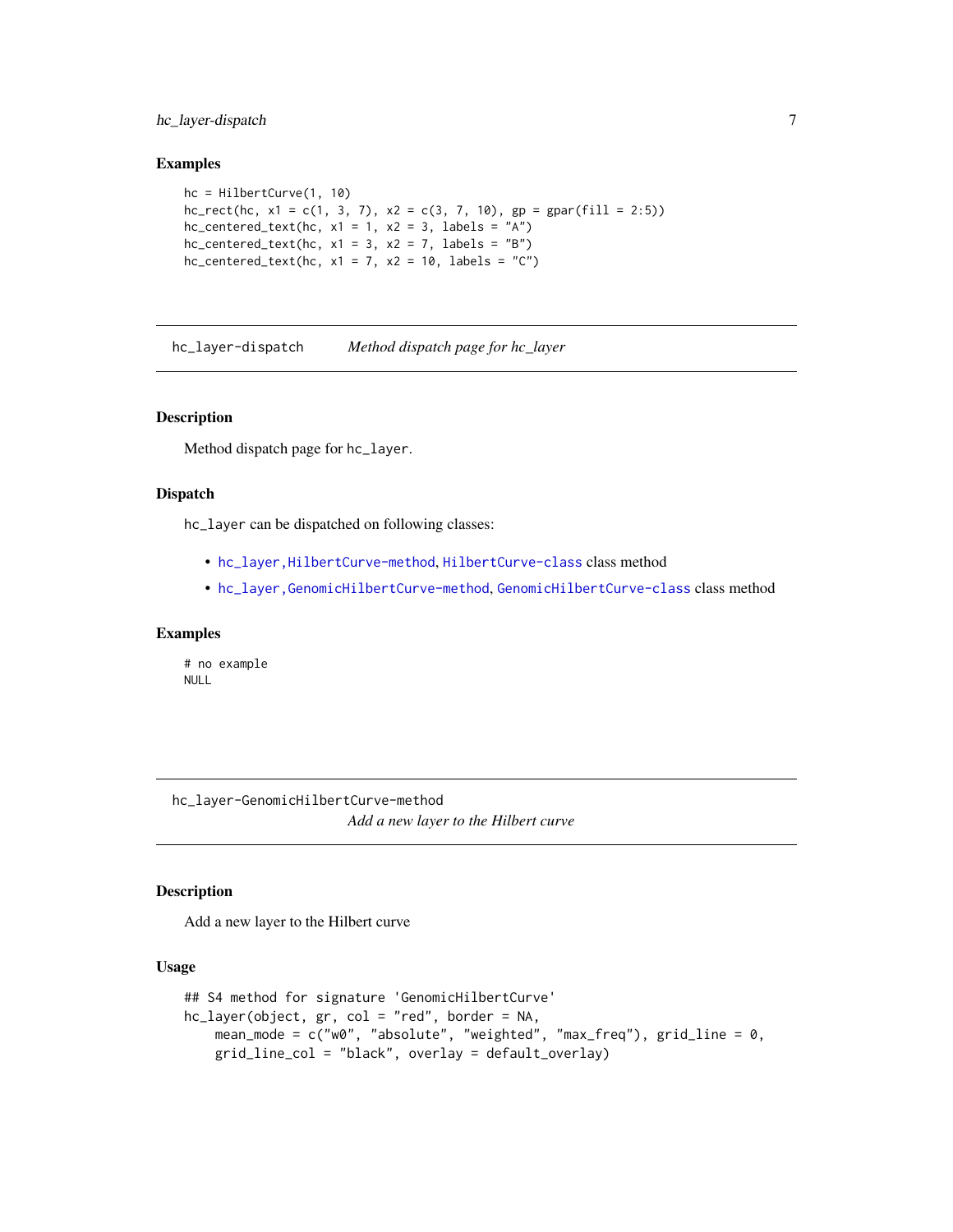## <span id="page-6-0"></span>hc\_layer-dispatch 7

#### Examples

```
hc = HilbertCurve(1, 10)hc_rect(hc, x1 = c(1, 3, 7), x2 = c(3, 7, 10), gp = gpar(fill = 2:5))
hc_{\text{centered\_text(hc, x1 = 1, x2 = 3, labels = "A")}}hc_{\text{centered\_text(hc, x1 = 3, x2 = 7, labels = "B")}}hc_{\text{centered\_text(hc, x1 = 7, x2 = 10, labels = "C")}}
```
hc\_layer-dispatch *Method dispatch page for hc\_layer*

## Description

Method dispatch page for hc\_layer.

#### Dispatch

hc\_layer can be dispatched on following classes:

- [hc\\_layer,HilbertCurve-method](#page-0-0), [HilbertCurve-class](#page-32-1) class method
- [hc\\_layer,GenomicHilbertCurve-method](#page-0-0), [GenomicHilbertCurve-class](#page-4-1) class method

#### Examples

# no example NULL

hc\_layer-GenomicHilbertCurve-method *Add a new layer to the Hilbert curve*

#### Description

Add a new layer to the Hilbert curve

#### Usage

```
## S4 method for signature 'GenomicHilbertCurve'
hc_layer(object, gr, col = "red", border = NA,
   mean_mode = c("w0", "absolute", "weighted", "max_freq"), grid_line = 0,
   grid_line_col = "black", overlay = default_overlay)
```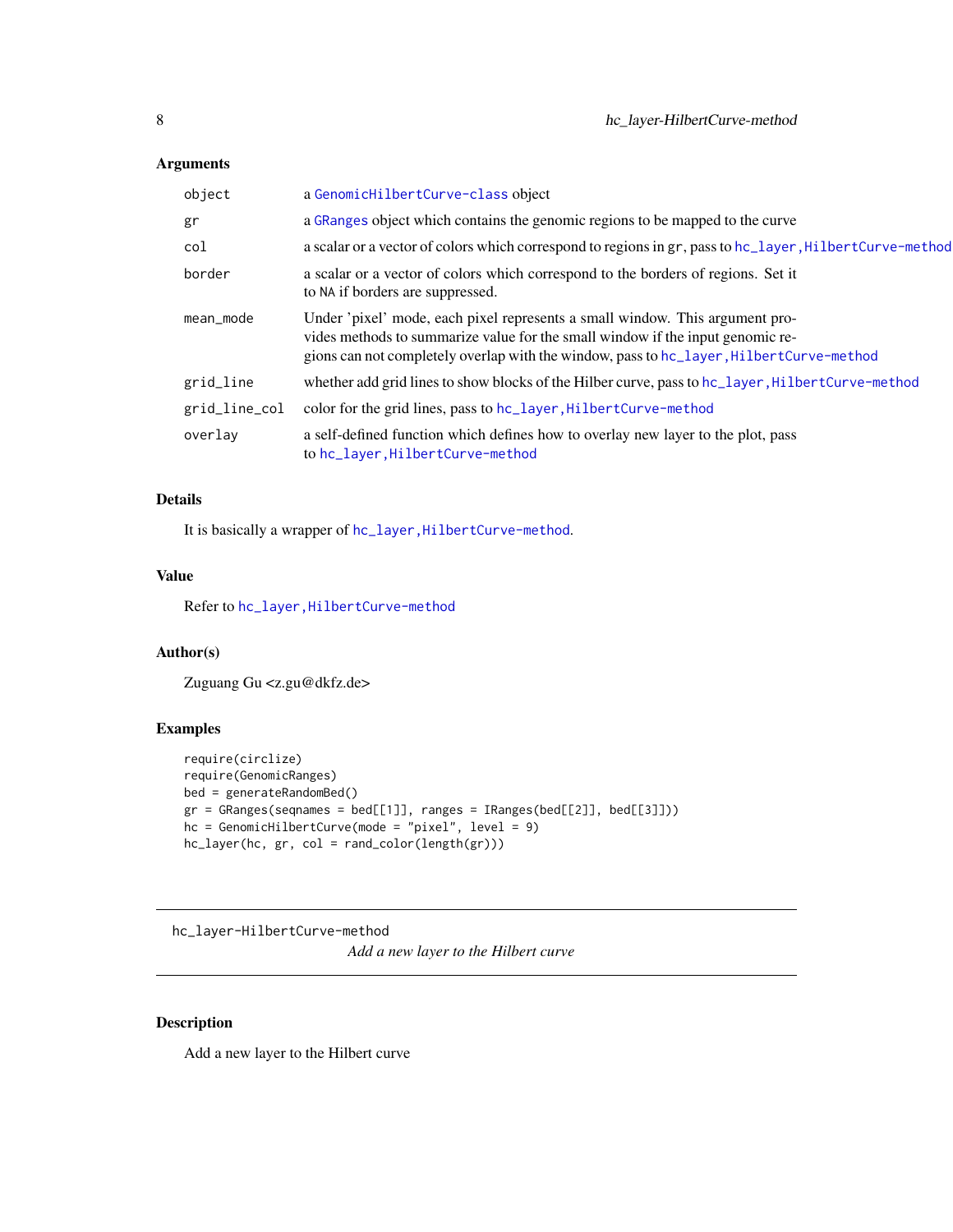## <span id="page-7-0"></span>Arguments

| object        | a GenomicHilbertCurve-class object                                                                                                                                                                                                                        |
|---------------|-----------------------------------------------------------------------------------------------------------------------------------------------------------------------------------------------------------------------------------------------------------|
| gr            | a GRanges object which contains the genomic regions to be mapped to the curve                                                                                                                                                                             |
| col           | a scalar or a vector of colors which correspond to regions in gr, pass to hc_layer, HilbertCurve-method                                                                                                                                                   |
| border        | a scalar or a vector of colors which correspond to the borders of regions. Set it<br>to NA if borders are suppressed.                                                                                                                                     |
| mean_mode     | Under 'pixel' mode, each pixel represents a small window. This argument pro-<br>vides methods to summarize value for the small window if the input genomic re-<br>gions can not completely overlap with the window, pass to hc_layer, HilbertCurve-method |
| grid_line     | whether add grid lines to show blocks of the Hilber curve, pass to hc_layer, Hilbert Curve-method                                                                                                                                                         |
| grid_line_col | color for the grid lines, pass to hc_layer, HilbertCurve-method                                                                                                                                                                                           |
| overlay       | a self-defined function which defines how to overlay new layer to the plot, pass<br>to hc_layer, HilbertCurve-method                                                                                                                                      |

## Details

It is basically a wrapper of hc\_layer, HilbertCurve-method.

#### Value

Refer to [hc\\_layer,HilbertCurve-method](#page-0-0)

## Author(s)

Zuguang Gu <z.gu@dkfz.de>

## Examples

```
require(circlize)
require(GenomicRanges)
bed = generateRandomBed()
gr = GRanges(seqnames = bed[[1]], ranges = IRanges(bed[[2]], bed[[3]]))
hc = GenomicHilbertCurve(mode = "pixel", level = 9)
hc_layer(hc, gr, col = rand_color(length(gr)))
```
hc\_layer-HilbertCurve-method

*Add a new layer to the Hilbert curve*

## Description

Add a new layer to the Hilbert curve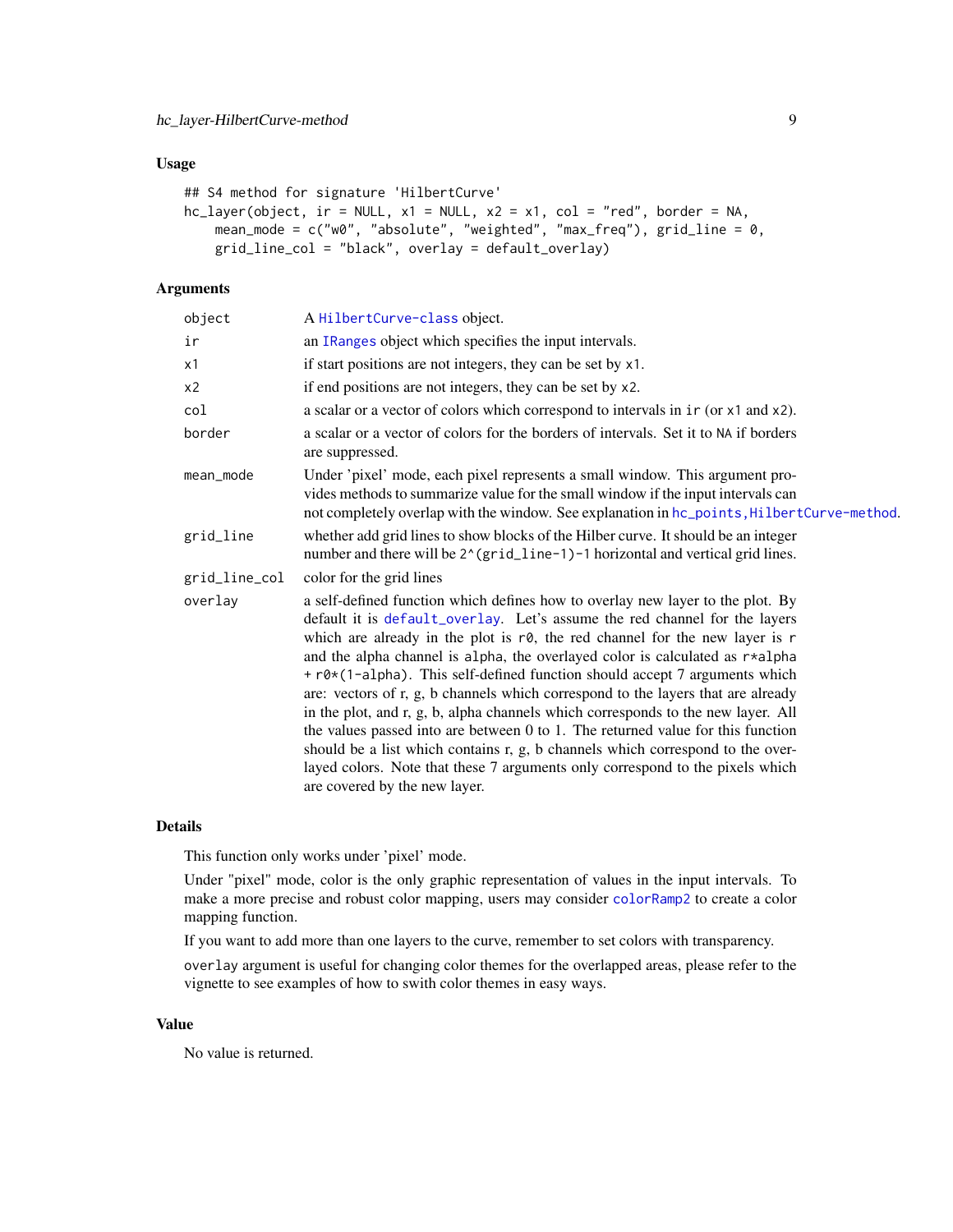## <span id="page-8-0"></span>Usage

```
## S4 method for signature 'HilbertCurve'
hc\_{layer(object, ir = NULL, x1 = NULL, x2 = x1, col = "red", border = NA,mean_mode = c("w0", "absolute", "weighted", "max_freq"), grid_line = 0,
    grid_line_col = "black", overlay = default_overlay)
```
## Arguments

| A HilbertCurve-class object.                                                                                                                                                                                                                                                                                                                                                                                                                                                                                                                                                                                                                                                                                                                                                                                                                                                              |  |
|-------------------------------------------------------------------------------------------------------------------------------------------------------------------------------------------------------------------------------------------------------------------------------------------------------------------------------------------------------------------------------------------------------------------------------------------------------------------------------------------------------------------------------------------------------------------------------------------------------------------------------------------------------------------------------------------------------------------------------------------------------------------------------------------------------------------------------------------------------------------------------------------|--|
| an IRanges object which specifies the input intervals.                                                                                                                                                                                                                                                                                                                                                                                                                                                                                                                                                                                                                                                                                                                                                                                                                                    |  |
| if start positions are not integers, they can be set by x1.                                                                                                                                                                                                                                                                                                                                                                                                                                                                                                                                                                                                                                                                                                                                                                                                                               |  |
| if end positions are not integers, they can be set by x2.                                                                                                                                                                                                                                                                                                                                                                                                                                                                                                                                                                                                                                                                                                                                                                                                                                 |  |
| a scalar or a vector of colors which correspond to intervals in ir (or x1 and x2).                                                                                                                                                                                                                                                                                                                                                                                                                                                                                                                                                                                                                                                                                                                                                                                                        |  |
| a scalar or a vector of colors for the borders of intervals. Set it to NA if borders<br>are suppressed.                                                                                                                                                                                                                                                                                                                                                                                                                                                                                                                                                                                                                                                                                                                                                                                   |  |
| Under 'pixel' mode, each pixel represents a small window. This argument pro-<br>vides methods to summarize value for the small window if the input intervals can<br>not completely overlap with the window. See explanation in hc_points, HilbertCurve-method.                                                                                                                                                                                                                                                                                                                                                                                                                                                                                                                                                                                                                            |  |
| whether add grid lines to show blocks of the Hilber curve. It should be an integer<br>number and there will be 2^(grid_line-1)-1 horizontal and vertical grid lines.                                                                                                                                                                                                                                                                                                                                                                                                                                                                                                                                                                                                                                                                                                                      |  |
| color for the grid lines                                                                                                                                                                                                                                                                                                                                                                                                                                                                                                                                                                                                                                                                                                                                                                                                                                                                  |  |
| a self-defined function which defines how to overlay new layer to the plot. By<br>default it is default_overlay. Let's assume the red channel for the layers<br>which are already in the plot is $r\theta$ , the red channel for the new layer is r<br>and the alpha channel is alpha, the overlayed color is calculated as $r*alpha$ lpha<br>+ r0*(1-alpha). This self-defined function should accept 7 arguments which<br>are: vectors of r, g, b channels which correspond to the layers that are already<br>in the plot, and r, g, b, alpha channels which corresponds to the new layer. All<br>the values passed into are between $0$ to 1. The returned value for this function<br>should be a list which contains r, g, b channels which correspond to the over-<br>layed colors. Note that these 7 arguments only correspond to the pixels which<br>are covered by the new layer. |  |
|                                                                                                                                                                                                                                                                                                                                                                                                                                                                                                                                                                                                                                                                                                                                                                                                                                                                                           |  |

## Details

This function only works under 'pixel' mode.

Under "pixel" mode, color is the only graphic representation of values in the input intervals. To make a more precise and robust color mapping, users may consider [colorRamp2](#page-0-0) to create a color mapping function.

If you want to add more than one layers to the curve, remember to set colors with transparency.

overlay argument is useful for changing color themes for the overlapped areas, please refer to the vignette to see examples of how to swith color themes in easy ways.

#### Value

No value is returned.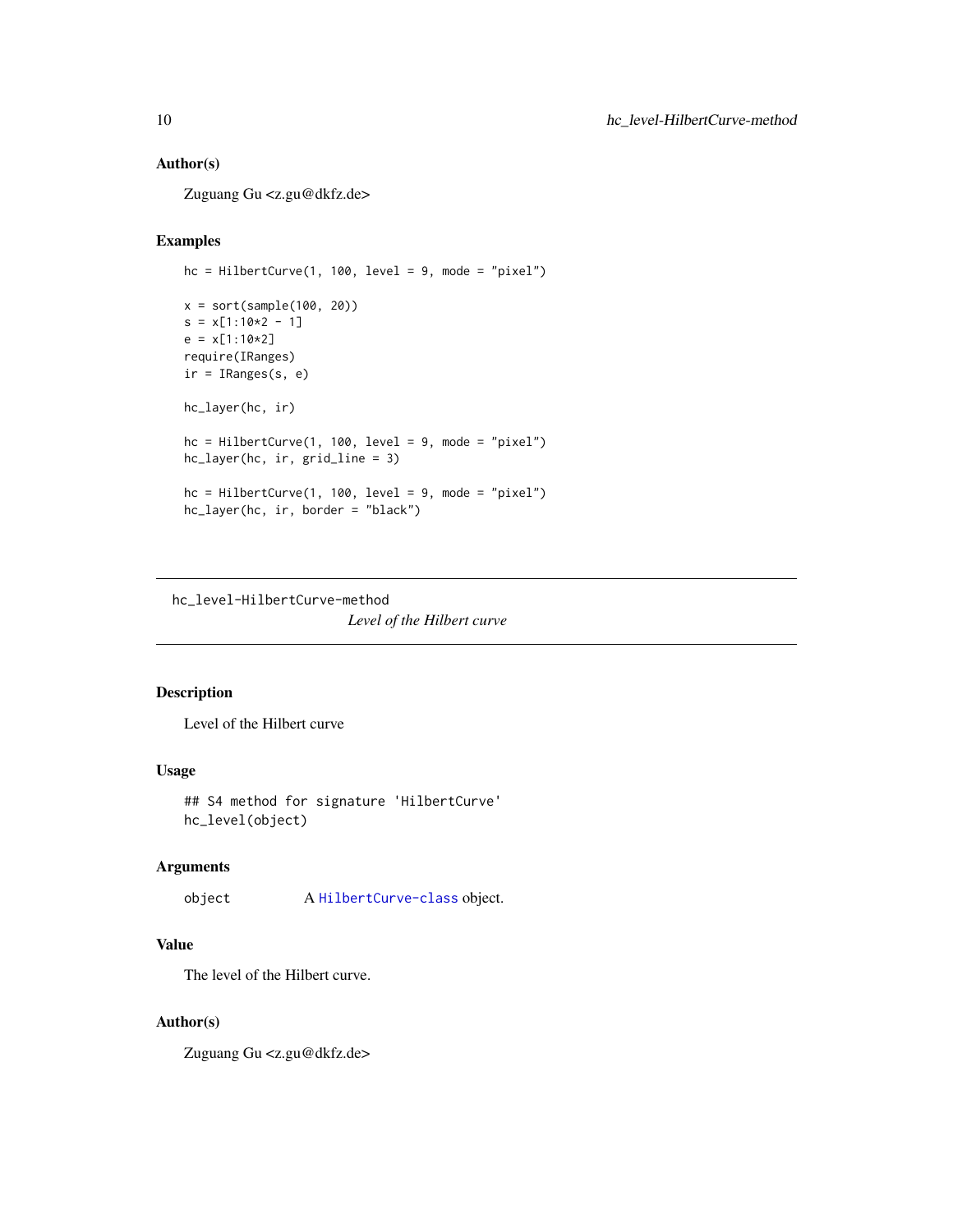## Author(s)

Zuguang Gu <z.gu@dkfz.de>

## Examples

```
hc = HilbertCurve(1, 100, level = 9, mode = "pixel")
x = sort(sample(100, 20))s = x[1:10*2 - 1]e = x[1:10*2]require(IRanges)
ir = IRanges(s, e)hc_layer(hc, ir)
hc = HilbertCurve(1, 100, level = 9, mode = "pixel")
hc_layer(hc, ir, grid_line = 3)
hc = HilbertCurve(1, 100, level = 9, mode = "pixel")
hc_layer(hc, ir, border = "black")
```
hc\_level-HilbertCurve-method *Level of the Hilbert curve*

## Description

Level of the Hilbert curve

## Usage

```
## S4 method for signature 'HilbertCurve'
hc_level(object)
```
## Arguments

object A [HilbertCurve-class](#page-32-1) object.

## Value

The level of the Hilbert curve.

#### Author(s)

Zuguang Gu <z.gu@dkfz.de>

<span id="page-9-0"></span>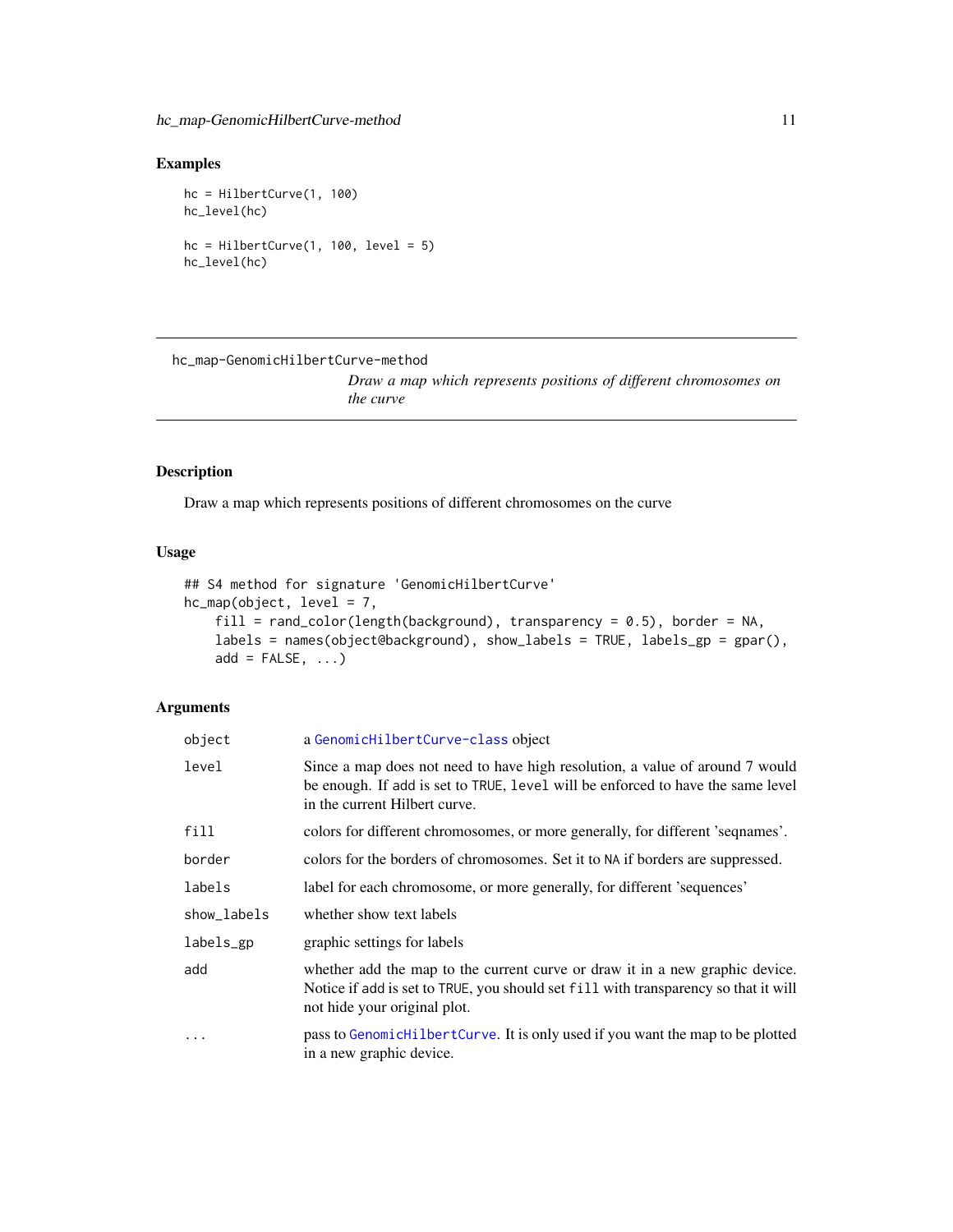## <span id="page-10-0"></span>Examples

hc = HilbertCurve(1, 100) hc\_level(hc) hc = HilbertCurve $(1, 100, level = 5)$ hc\_level(hc)

```
hc_map-GenomicHilbertCurve-method
```
*Draw a map which represents positions of different chromosomes on the curve*

## Description

Draw a map which represents positions of different chromosomes on the curve

## Usage

```
## S4 method for signature 'GenomicHilbertCurve'
hc_{map}(object, level = 7,
    fill = rand\_color(length(background), transparency = 0.5), border = NA,labels = names(object@background), show_labels = TRUE, labels_gp = gpar(),
   add = FALSE, ...)
```
## Arguments

| object      | a GenomicHilbertCurve-class object                                                                                                                                                                  |
|-------------|-----------------------------------------------------------------------------------------------------------------------------------------------------------------------------------------------------|
| level       | Since a map does not need to have high resolution, a value of around 7 would<br>be enough. If add is set to TRUE, level will be enforced to have the same level<br>in the current Hilbert curve.    |
| fill        | colors for different chromosomes, or more generally, for different 'seqnames'.                                                                                                                      |
| border      | colors for the borders of chromosomes. Set it to NA if borders are suppressed.                                                                                                                      |
| labels      | label for each chromosome, or more generally, for different 'sequences'                                                                                                                             |
| show_labels | whether show text labels                                                                                                                                                                            |
| labels_gp   | graphic settings for labels                                                                                                                                                                         |
| add         | whether add the map to the current curve or draw it in a new graphic device.<br>Notice if add is set to TRUE, you should set fill with transparency so that it will<br>not hide your original plot. |
| $\cdots$    | pass to GenomicHilbertCurve. It is only used if you want the map to be plotted<br>in a new graphic device.                                                                                          |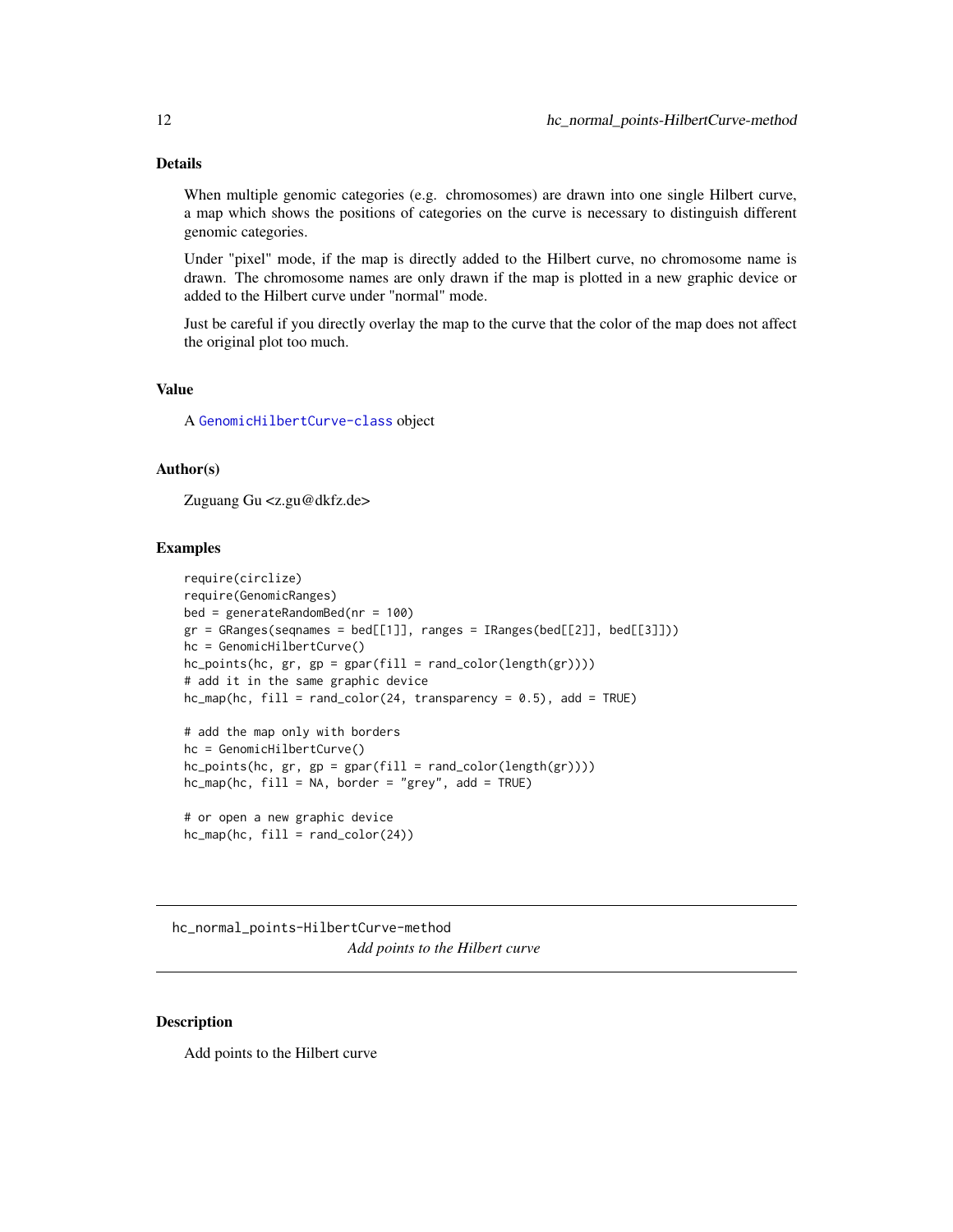## <span id="page-11-0"></span>Details

When multiple genomic categories (e.g. chromosomes) are drawn into one single Hilbert curve, a map which shows the positions of categories on the curve is necessary to distinguish different genomic categories.

Under "pixel" mode, if the map is directly added to the Hilbert curve, no chromosome name is drawn. The chromosome names are only drawn if the map is plotted in a new graphic device or added to the Hilbert curve under "normal" mode.

Just be careful if you directly overlay the map to the curve that the color of the map does not affect the original plot too much.

#### Value

A [GenomicHilbertCurve-class](#page-4-1) object

#### Author(s)

Zuguang Gu <z.gu@dkfz.de>

## Examples

```
require(circlize)
require(GenomicRanges)
bed = generateRandomBed(nr = 100)
gr = GRanges(seqnames = bed[[1]], ranges = IRanges(bed[[2]], bed[[3]]))hc = GenomicHilbertCurve()
hc\_points(hc, gr, gp = gpar(fill = rand\_color(length(gr))))# add it in the same graphic device
hc_map(hc, fill = rand_color(24, transparency = 0.5), add = TRUE)# add the map only with borders
hc = GenomicHilbertCurve()
hc_points(hc, gr, gp = gpar(fill = rand_color(length(gr))))
hc_{map}(hc, fill = NA, border = "grey", add = TRUE)# or open a new graphic device
hc_map(hc, fill = rand_color(24))
```
hc\_normal\_points-HilbertCurve-method *Add points to the Hilbert curve*

#### **Description**

Add points to the Hilbert curve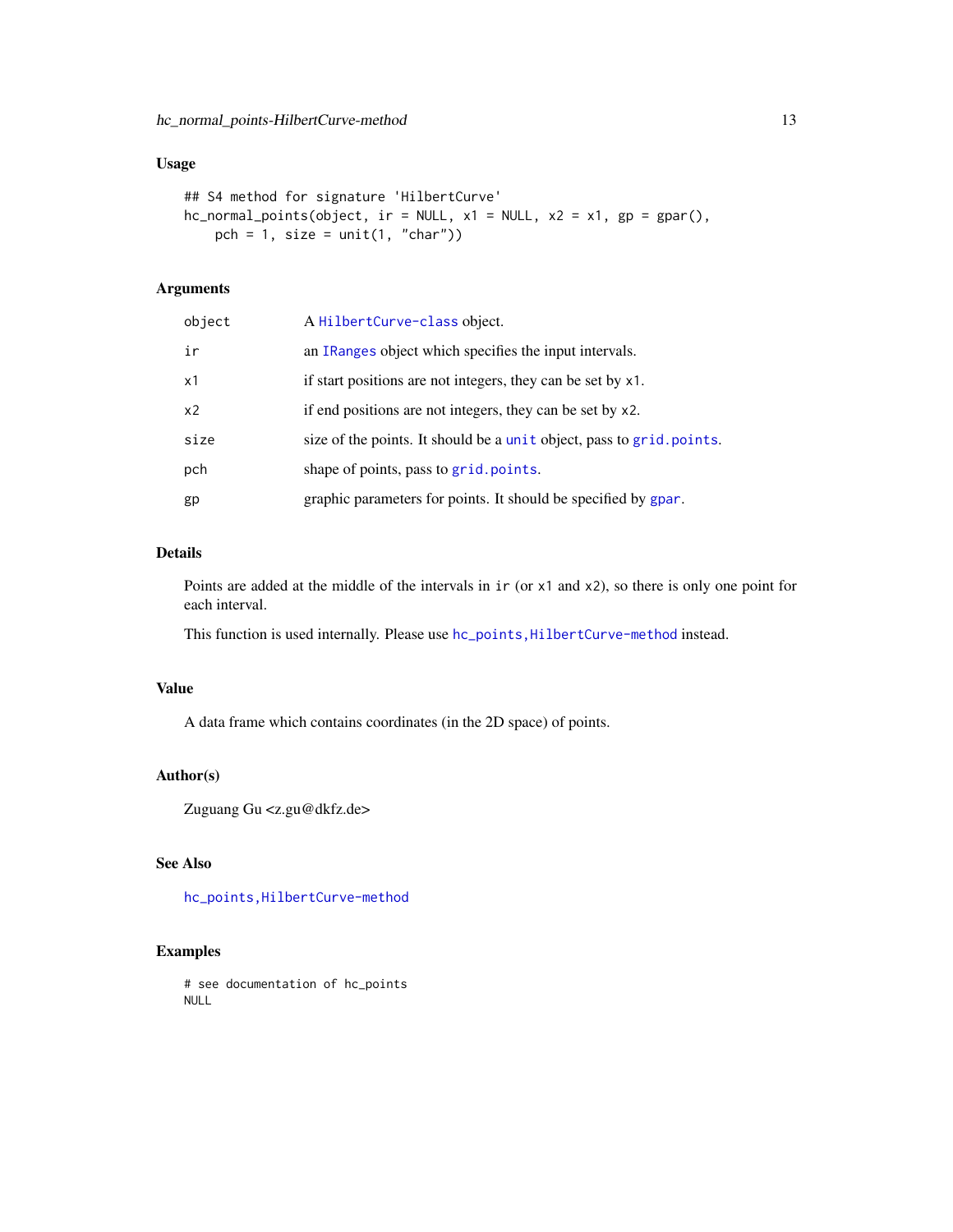## <span id="page-12-0"></span>Usage

```
## S4 method for signature 'HilbertCurve'
hc\_normal\_points(object, ir = NULL, x1 = NULL, x2 = x1, gp = gpar(),pch = 1, size = unit(1, "char"))
```
## Arguments

| object | A HilbertCurve-class object.                                          |
|--------|-----------------------------------------------------------------------|
| ir     | an IRanges object which specifies the input intervals.                |
| x1     | if start positions are not integers, they can be set by x1.           |
| x2     | if end positions are not integers, they can be set by x2.             |
| size   | size of the points. It should be a unit object, pass to grid. points. |
| pch    | shape of points, pass to grid.points.                                 |
| gp     | graphic parameters for points. It should be specified by gpar.        |

## Details

Points are added at the middle of the intervals in ir (or x1 and x2), so there is only one point for each interval.

This function is used internally. Please use hc\_points, HilbertCurve-method instead.

#### Value

A data frame which contains coordinates (in the 2D space) of points.

#### Author(s)

Zuguang Gu <z.gu@dkfz.de>

## See Also

[hc\\_points,HilbertCurve-method](#page-0-0)

#### Examples

# see documentation of hc\_points NULL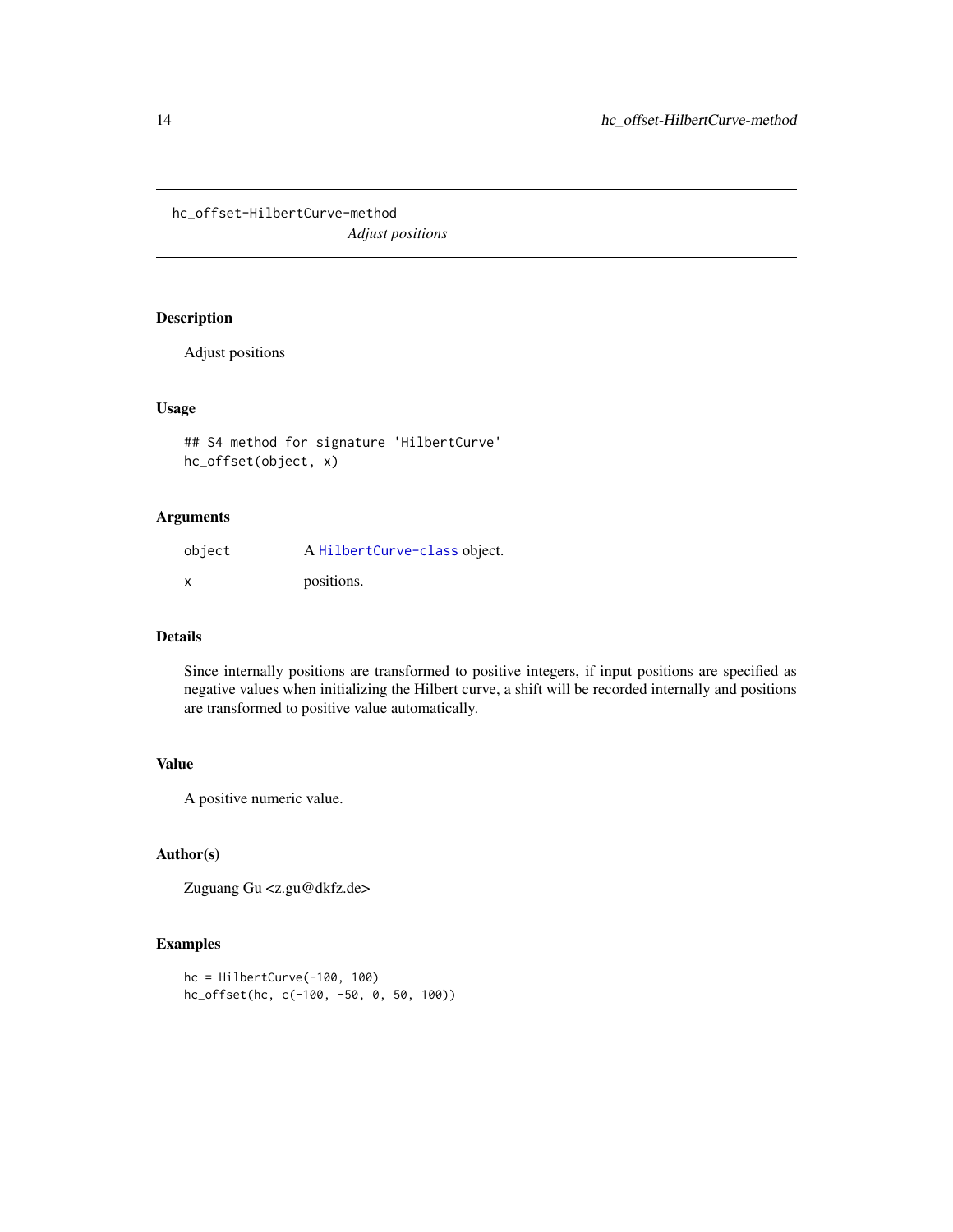<span id="page-13-0"></span>hc\_offset-HilbertCurve-method *Adjust positions*

## Description

Adjust positions

#### Usage

```
## S4 method for signature 'HilbertCurve'
hc_offset(object, x)
```
#### Arguments

| object | A HilbertCurve-class object. |
|--------|------------------------------|
|        | positions.                   |

#### Details

Since internally positions are transformed to positive integers, if input positions are specified as negative values when initializing the Hilbert curve, a shift will be recorded internally and positions are transformed to positive value automatically.

## Value

A positive numeric value.

#### Author(s)

Zuguang Gu <z.gu@dkfz.de>

## Examples

```
hc = HilbertCurve(-100, 100)
hc_offset(hc, c(-100, -50, 0, 50, 100))
```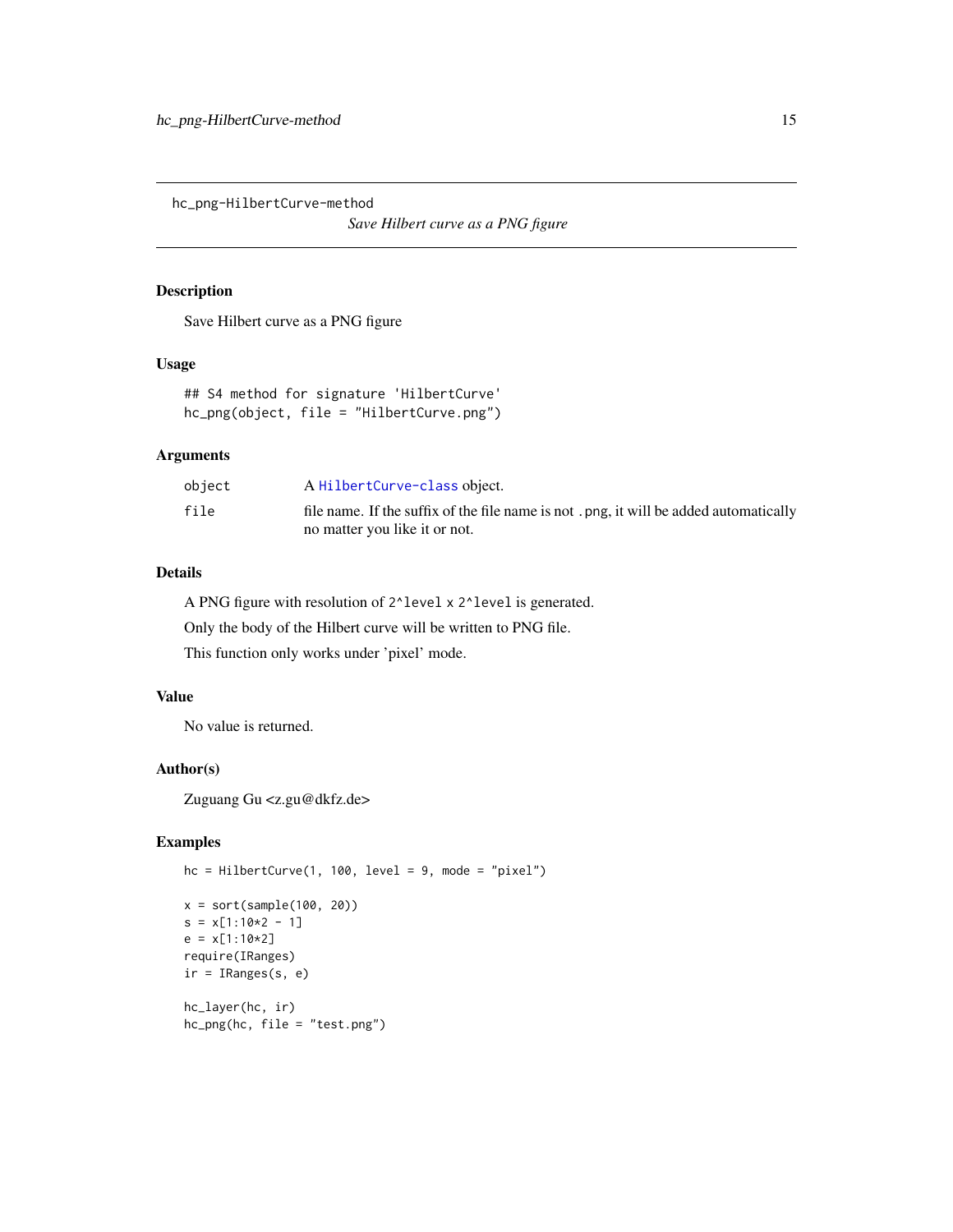<span id="page-14-0"></span>hc\_png-HilbertCurve-method

*Save Hilbert curve as a PNG figure*

#### Description

Save Hilbert curve as a PNG figure

#### Usage

## S4 method for signature 'HilbertCurve' hc\_png(object, file = "HilbertCurve.png")

## Arguments

| object | A HilbertCurve-class object.                                                          |
|--------|---------------------------------------------------------------------------------------|
| file   | file name. If the suffix of the file name is not, png, it will be added automatically |
|        | no matter you like it or not.                                                         |

## Details

A PNG figure with resolution of 2^level x 2^level is generated.

Only the body of the Hilbert curve will be written to PNG file.

This function only works under 'pixel' mode.

## Value

No value is returned.

## Author(s)

Zuguang Gu <z.gu@dkfz.de>

#### Examples

```
hc = HilbertCurve(1, 100, level = 9, mode = "pixel")
x = sort(sample(100, 20))
s = x[1:10*2 - 1]e = x[1:10*2]require(IRanges)
ir = IRanges(s, e)
hc_layer(hc, ir)
hc_png(hc, file = "test.png")
```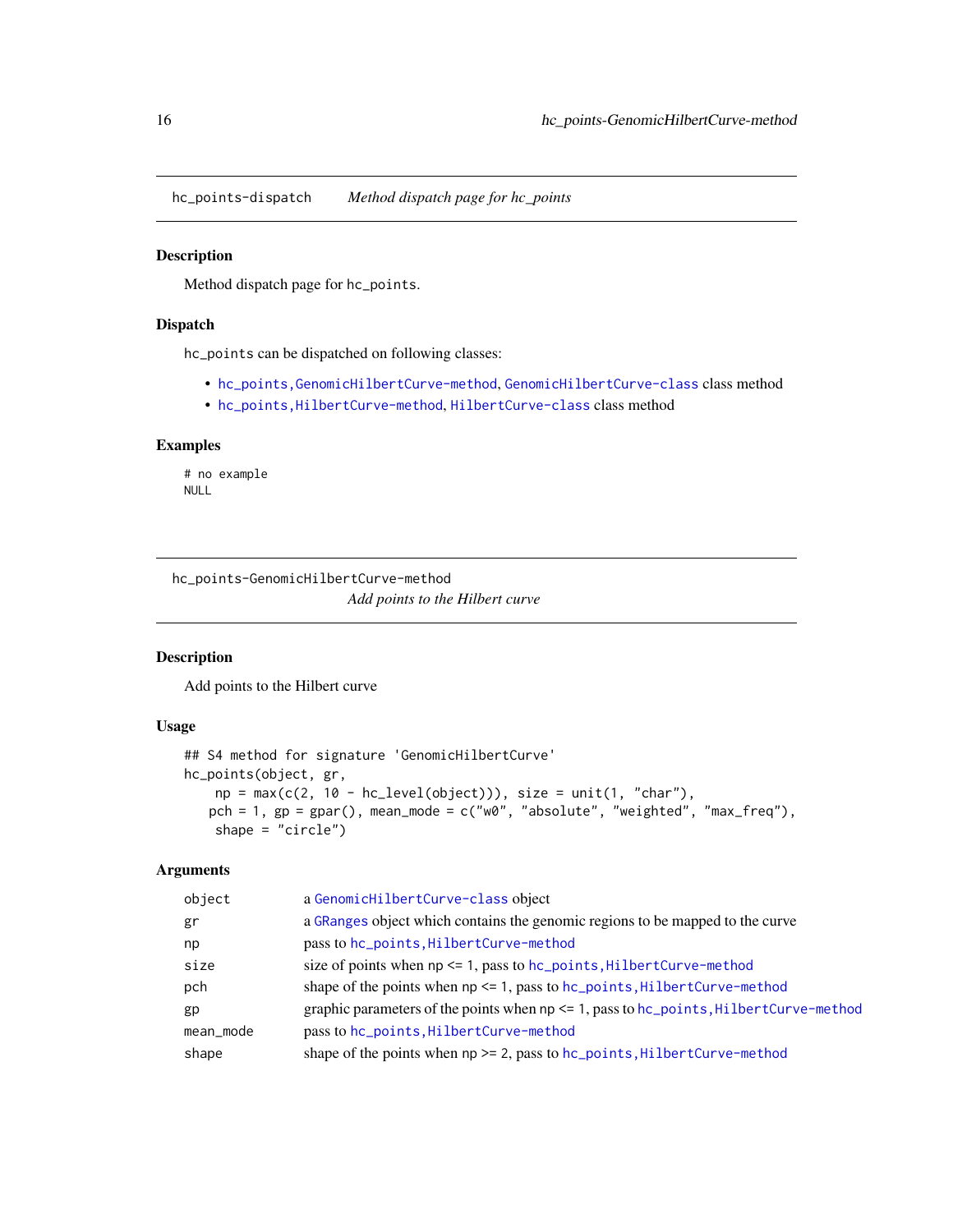<span id="page-15-0"></span>hc\_points-dispatch *Method dispatch page for hc\_points*

## <span id="page-15-1"></span>Description

Method dispatch page for hc\_points.

#### Dispatch

hc\_points can be dispatched on following classes:

- [hc\\_points,GenomicHilbertCurve-method](#page-0-0), [GenomicHilbertCurve-class](#page-4-1) class method
- [hc\\_points,HilbertCurve-method](#page-0-0), [HilbertCurve-class](#page-32-1) class method

## Examples

# no example NULL

hc\_points-GenomicHilbertCurve-method *Add points to the Hilbert curve*

#### Description

Add points to the Hilbert curve

## Usage

```
## S4 method for signature 'GenomicHilbertCurve'
hc_points(object, gr,
   np = max(c(2, 10 - hc\_level(object))), size = unit(1, "char"),pch = 1, gp = gpar(), mean_mode = c("w0", "absolute", "weighted", "max_freq"),
    shape = "circle")
```
#### Arguments

| object    | a GenomicHilbertCurve-class object                                                                  |
|-----------|-----------------------------------------------------------------------------------------------------|
| gr        | a GRanges object which contains the genomic regions to be mapped to the curve                       |
| np        | pass to hc_points, HilbertCurve-method                                                              |
| size      | size of points when $np \le 1$ , pass to $hc\_points$ , Hilbert Curve-method                        |
| pch       | shape of the points when $np \le 1$ , pass to $hc\_points$ , $HilbertCurve-method$                  |
| gp        | graphic parameters of the points when $np \leq 1$ , pass to $hc\_points$ , $Hilbert Curve - method$ |
| mean_mode | pass to hc_points, HilbertCurve-method                                                              |
| shape     | shape of the points when $np \ge 2$ , pass to $hc\_points$ , $HilbertCurve-method$                  |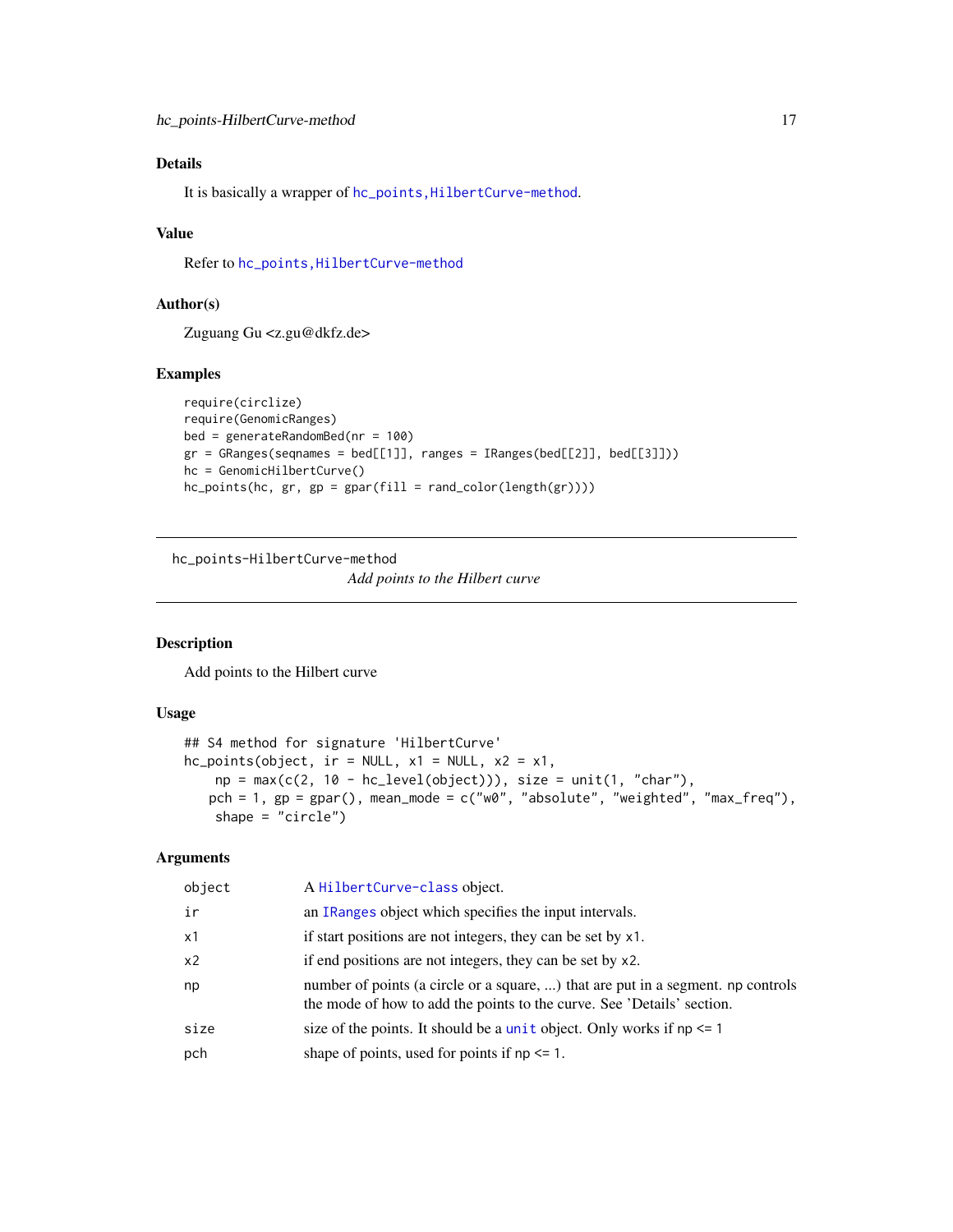## <span id="page-16-0"></span>Details

It is basically a wrapper of hc\_points, HilbertCurve-method.

#### Value

Refer to [hc\\_points,HilbertCurve-method](#page-0-0)

## Author(s)

Zuguang Gu <z.gu@dkfz.de>

#### Examples

```
require(circlize)
require(GenomicRanges)
bed = generateRandomBed(nr = 100)
gr = GRanges(seqnames = bed[[1]], ranges = IRanges(bed[[2]], bed[[3]]))
hc = GenomicHilbertCurve()
hc_points(hc, gr, gp = gpar(fill = rand_color(length(gr))))
```
hc\_points-HilbertCurve-method

*Add points to the Hilbert curve*

#### Description

Add points to the Hilbert curve

#### Usage

```
## S4 method for signature 'HilbertCurve'
hc\_points(object, ir = NULL, x1 = NULL, x2 = x1,np = max(c(2, 10 - hc\_level(object))), size = unit(1, "char"),pch = 1, gp = gpar(), mean_mode = c("w0", "absolute", "weighted", "max_freq"),
    shape = "circle")
```
#### Arguments

| object         | A HilbertCurve-class object.                                                                                                                               |
|----------------|------------------------------------------------------------------------------------------------------------------------------------------------------------|
| ir             | an IRanges object which specifies the input intervals.                                                                                                     |
| x1             | if start positions are not integers, they can be set by x1.                                                                                                |
| x <sub>2</sub> | if end positions are not integers, they can be set by x2.                                                                                                  |
| np             | number of points (a circle or a square, ) that are put in a segment. np controls<br>the mode of how to add the points to the curve. See 'Details' section. |
| size           | size of the points. It should be a unit object. Only works if $np \leq 1$                                                                                  |
| pch            | shape of points, used for points if $np \leq 1$ .                                                                                                          |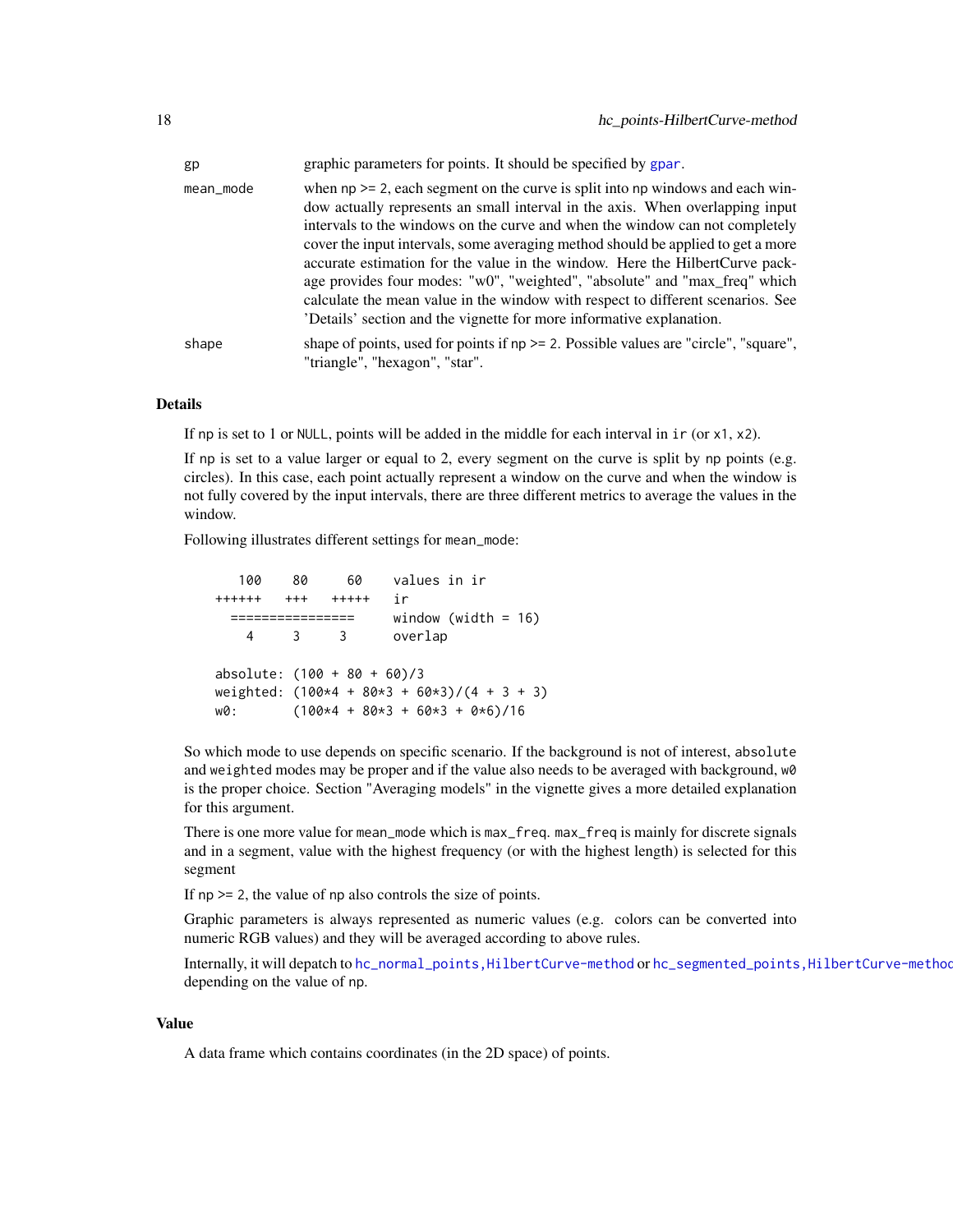<span id="page-17-0"></span>

| gp        | graphic parameters for points. It should be specified by gpar.                                                                                                                                                                                                                                                                                                                                                                                                                                                                                                                                                                                                    |
|-----------|-------------------------------------------------------------------------------------------------------------------------------------------------------------------------------------------------------------------------------------------------------------------------------------------------------------------------------------------------------------------------------------------------------------------------------------------------------------------------------------------------------------------------------------------------------------------------------------------------------------------------------------------------------------------|
| mean_mode | when $np \ge 2$ , each segment on the curve is split into np windows and each win-<br>dow actually represents an small interval in the axis. When overlapping input<br>intervals to the windows on the curve and when the window can not completely<br>cover the input intervals, some averaging method should be applied to get a more<br>accurate estimation for the value in the window. Here the Hilbert Curve pack-<br>age provides four modes: "w0", "weighted", "absolute" and "max_freq" which<br>calculate the mean value in the window with respect to different scenarios. See<br>'Details' section and the vignette for more informative explanation. |
| shape     | shape of points, used for points if $np \ge 2$ . Possible values are "circle", "square",<br>"triangle", "hexagon", "star".                                                                                                                                                                                                                                                                                                                                                                                                                                                                                                                                        |

## Details

If np is set to 1 or NULL, points will be added in the middle for each interval in  $i \in (or x1, x2)$ .

If np is set to a value larger or equal to 2, every segment on the curve is split by np points (e.g. circles). In this case, each point actually represent a window on the curve and when the window is not fully covered by the input intervals, there are three different metrics to average the values in the window.

Following illustrates different settings for mean\_mode:

100 80 60 values in ir ++++++ +++ +++++ ir ================ window (width = 16) 4 3 3 overlap absolute:  $(100 + 80 + 60)/3$ weighted:  $(100*4 + 80*3 + 60*3)/(4 + 3 + 3)$  $w0:$  (100\*4 + 80\*3 + 60\*3 + 0\*6)/16

So which mode to use depends on specific scenario. If the background is not of interest, absolute and weighted modes may be proper and if the value also needs to be averaged with background, w0 is the proper choice. Section "Averaging models" in the vignette gives a more detailed explanation for this argument.

There is one more value for mean\_mode which is max\_freq. max\_freq is mainly for discrete signals and in a segment, value with the highest frequency (or with the highest length) is selected for this segment

If  $np \geq 2$ , the value of  $np$  also controls the size of points.

Graphic parameters is always represented as numeric values (e.g. colors can be converted into numeric RGB values) and they will be averaged according to above rules.

Internally, it will depatch to [hc\\_normal\\_points,HilbertCurve-method](#page-0-0) or [hc\\_segmented\\_points,HilbertCurve-method](#page-0-0) depending on the value of np.

#### Value

A data frame which contains coordinates (in the 2D space) of points.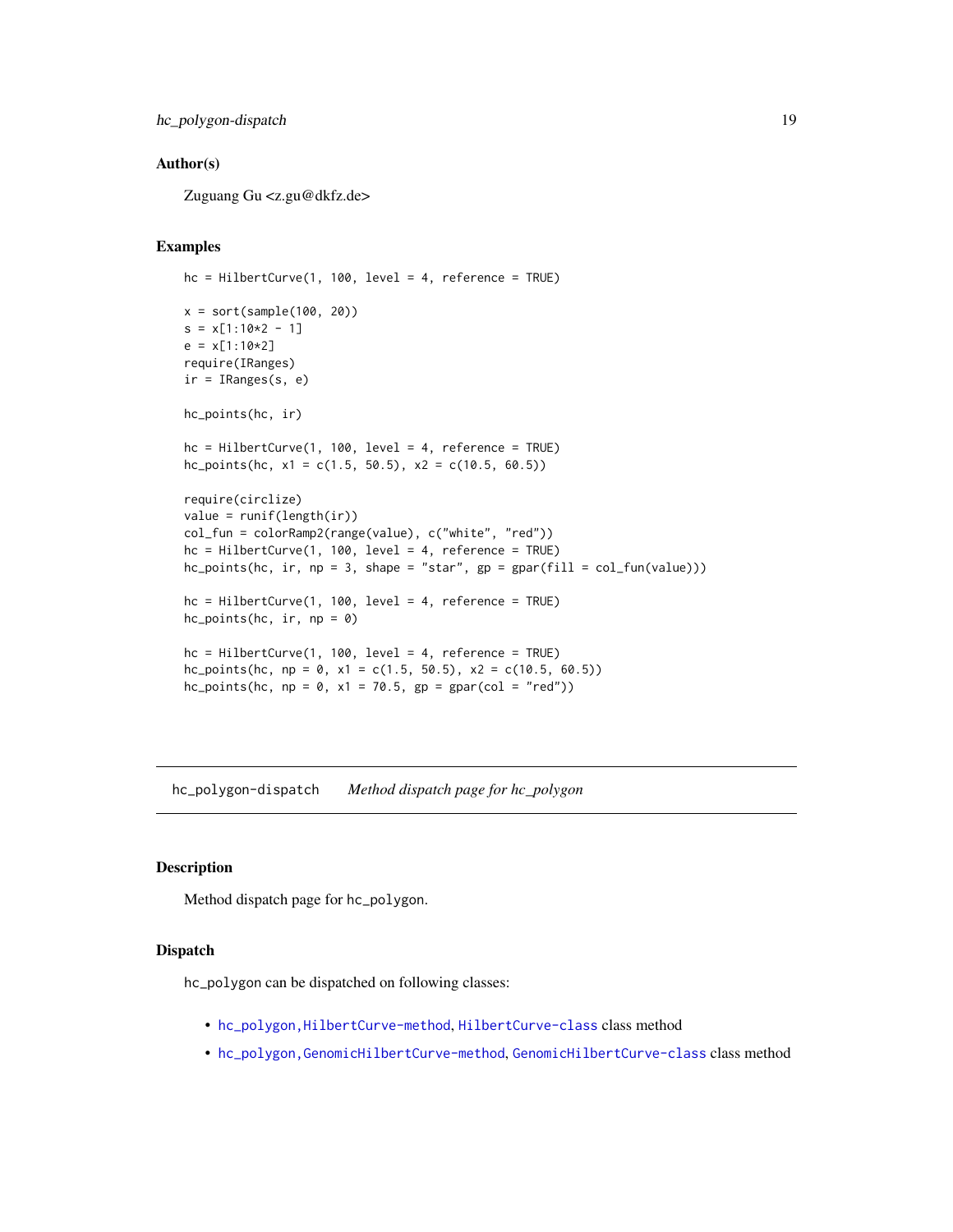<span id="page-18-0"></span>hc\_polygon-dispatch 19

## Author(s)

Zuguang Gu <z.gu@dkfz.de>

#### Examples

```
hc = HilbertCurve(1, 100, level = 4, reference = TRUE)
x = sort(sample(100, 20))s = x[1:10*2 - 1]e = x[1:10*2]require(IRanges)
ir = IRanges(s, e)hc_points(hc, ir)
hc = HilbertCurve(1, 100, level = 4, reference = TRUE)hc_points(hc, x1 = c(1.5, 50.5), x2 = c(10.5, 60.5))
require(circlize)
value = runif(length(ir))col_fun = colorRamp2(range(value), c("white", "red"))
hc = HilbertCurve(1, 100, level = 4, reference = TRUE)hc\_points(hc, ir, np = 3, shape = "star", gp = gpar(fill = col_fun(value)))hc = HilbertCurve(1, 100, level = 4, reference = TRUE)hc\_points(hc, ir, np = 0)hc = HilbertCurve(1, 100, level = 4, reference = TRUE)hc_points(hc, np = 0, x1 = c(1.5, 50.5), x2 = c(10.5, 60.5))
hc_points(hc, np = 0, x1 = 70.5, gp = gpar(col = "red"))
```
hc\_polygon-dispatch *Method dispatch page for hc\_polygon*

## Description

Method dispatch page for hc\_polygon.

#### Dispatch

hc\_polygon can be dispatched on following classes:

- [hc\\_polygon,HilbertCurve-method](#page-0-0), [HilbertCurve-class](#page-32-1) class method
- [hc\\_polygon,GenomicHilbertCurve-method](#page-0-0), [GenomicHilbertCurve-class](#page-4-1) class method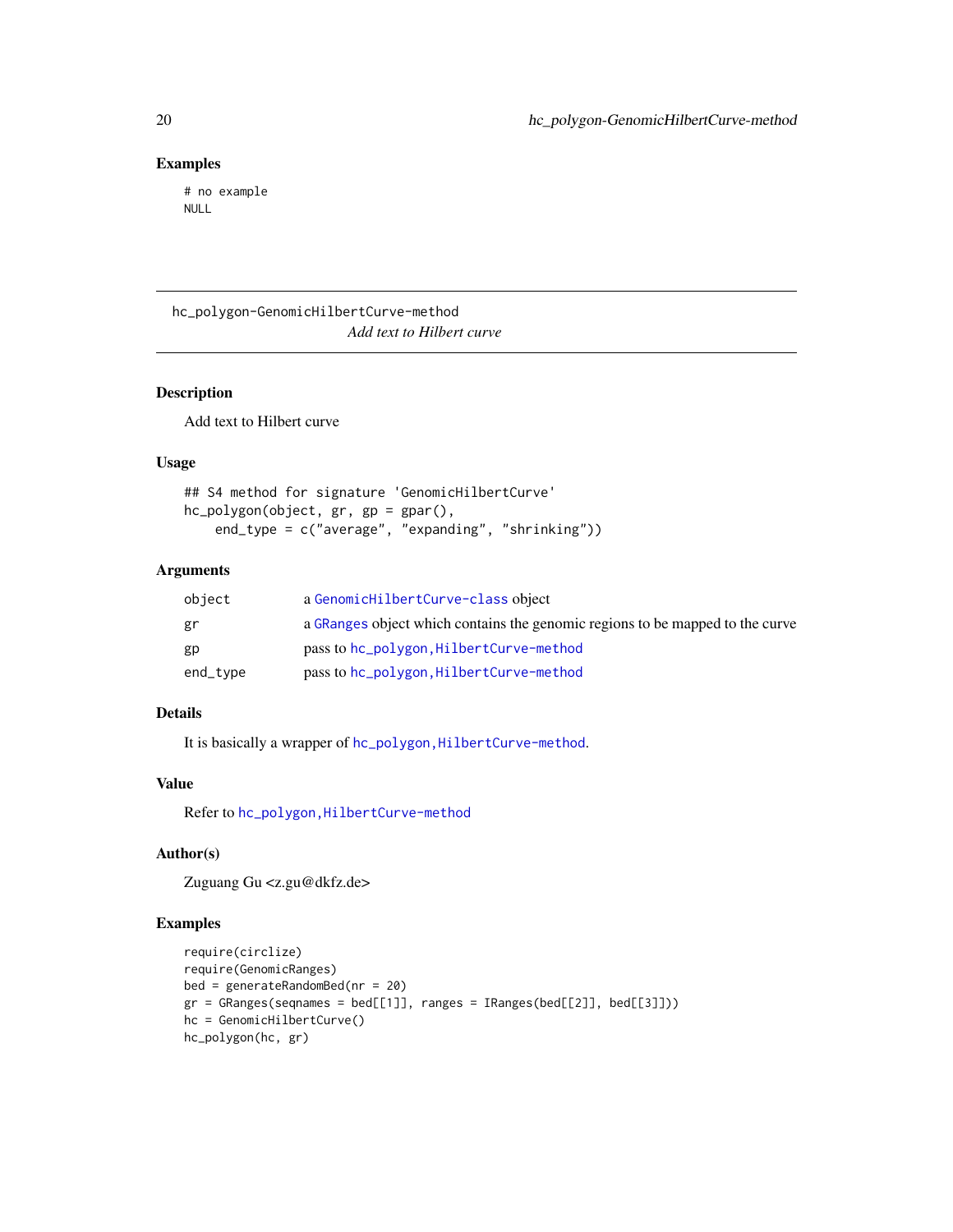## Examples

# no example NULL

hc\_polygon-GenomicHilbertCurve-method *Add text to Hilbert curve*

## Description

Add text to Hilbert curve

#### Usage

```
## S4 method for signature 'GenomicHilbertCurve'
hc_polygon(object, gr, gp = gpar(),
    end_type = c("average", "expanding", "shrinking"))
```
#### Arguments

| object   | a GenomicHilbertCurve-class object                                            |
|----------|-------------------------------------------------------------------------------|
| gr       | a GRanges object which contains the genomic regions to be mapped to the curve |
| gp       | pass to hc_polygon, HilbertCurve-method                                       |
| end_type | pass to hc_polygon, HilbertCurve-method                                       |

## Details

It is basically a wrapper of hc\_polygon, HilbertCurve-method.

#### Value

Refer to [hc\\_polygon,HilbertCurve-method](#page-0-0)

#### Author(s)

Zuguang Gu <z.gu@dkfz.de>

## Examples

```
require(circlize)
require(GenomicRanges)
bed = generateRandomBed(nr = 20)
gr = GRanges(seqnames = bed[[1]], ranges = IRanges(bed[[2]], bed[[3]]))hc = GenomicHilbertCurve()
hc_polygon(hc, gr)
```
<span id="page-19-0"></span>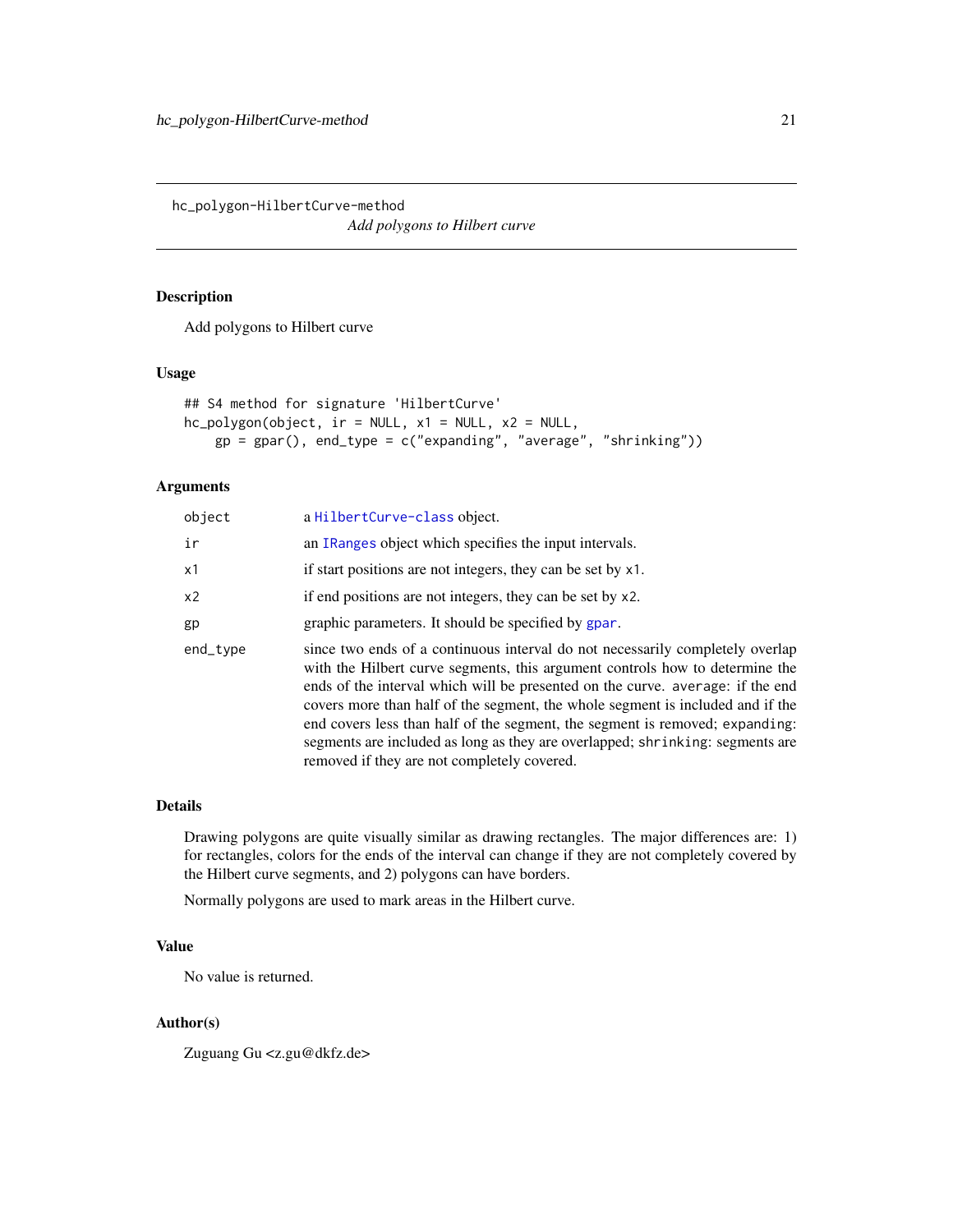<span id="page-20-0"></span>hc\_polygon-HilbertCurve-method

*Add polygons to Hilbert curve*

## Description

Add polygons to Hilbert curve

#### Usage

```
## S4 method for signature 'HilbertCurve'
hc_polygon(object, ir = NULL, x1 = NULL, x2 = NULL,
   gp = gpar(), end_type = c("expanding", "average", "shrinking"))
```
## Arguments

| object   | a HilbertCurve-class object.                                                                                                                                                                                                                                                                                                                                                                                                                                                                                                                      |
|----------|---------------------------------------------------------------------------------------------------------------------------------------------------------------------------------------------------------------------------------------------------------------------------------------------------------------------------------------------------------------------------------------------------------------------------------------------------------------------------------------------------------------------------------------------------|
| ir       | an IRanges object which specifies the input intervals.                                                                                                                                                                                                                                                                                                                                                                                                                                                                                            |
| x1       | if start positions are not integers, they can be set by x1.                                                                                                                                                                                                                                                                                                                                                                                                                                                                                       |
| x2       | if end positions are not integers, they can be set by x2.                                                                                                                                                                                                                                                                                                                                                                                                                                                                                         |
| gp       | graphic parameters. It should be specified by gpar.                                                                                                                                                                                                                                                                                                                                                                                                                                                                                               |
| end_type | since two ends of a continuous interval do not necessarily completely overlap<br>with the Hilbert curve segments, this argument controls how to determine the<br>ends of the interval which will be presented on the curve. average: if the end<br>covers more than half of the segment, the whole segment is included and if the<br>end covers less than half of the segment, the segment is removed; expanding:<br>segments are included as long as they are overlapped; shrinking: segments are<br>removed if they are not completely covered. |

#### Details

Drawing polygons are quite visually similar as drawing rectangles. The major differences are: 1) for rectangles, colors for the ends of the interval can change if they are not completely covered by the Hilbert curve segments, and 2) polygons can have borders.

Normally polygons are used to mark areas in the Hilbert curve.

## Value

No value is returned.

#### Author(s)

Zuguang Gu <z.gu@dkfz.de>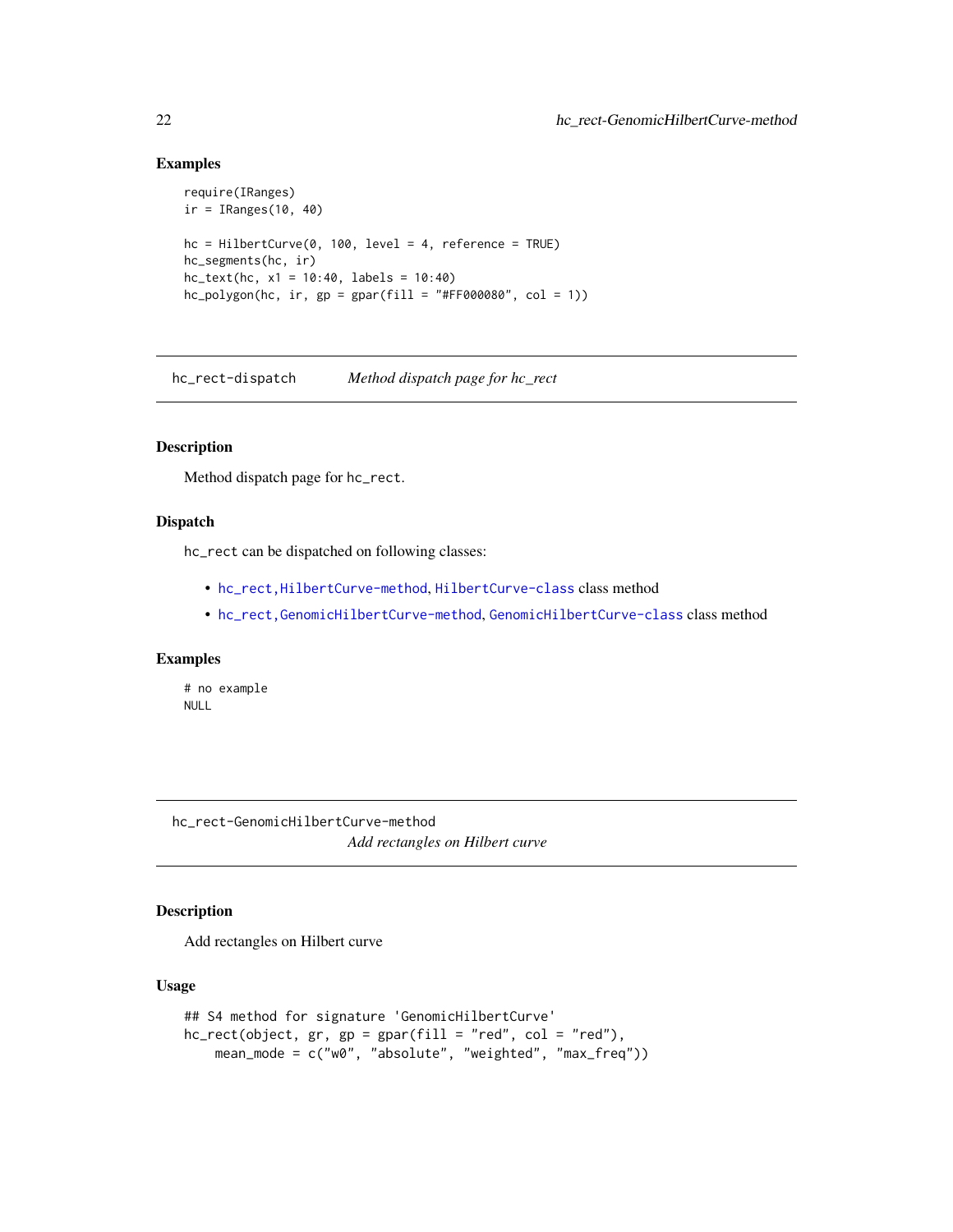## Examples

```
require(IRanges)
ir = IRanges(10, 40)
hc = HilbertCurve(0, 100, level = 4, reference = TRUE)hc_segments(hc, ir)
hc_{text(hc, x1 = 10:40, labels = 10:40)}hc\_polygon(hc, ir, gp = gpar(fill = "#FF000080", col = 1))
```
hc\_rect-dispatch *Method dispatch page for hc\_rect*

#### Description

Method dispatch page for hc\_rect.

## Dispatch

hc\_rect can be dispatched on following classes:

- [hc\\_rect,HilbertCurve-method](#page-0-0), [HilbertCurve-class](#page-32-1) class method
- [hc\\_rect,GenomicHilbertCurve-method](#page-0-0), [GenomicHilbertCurve-class](#page-4-1) class method

## Examples

# no example NULL

hc\_rect-GenomicHilbertCurve-method *Add rectangles on Hilbert curve*

#### Description

Add rectangles on Hilbert curve

#### Usage

```
## S4 method for signature 'GenomicHilbertCurve'
hc\_rect(object, gr, gp = gpar(fill = "red", col = "red"),mean_mode = c("w0", "absolute", "weighted", "max_freq"))
```
<span id="page-21-0"></span>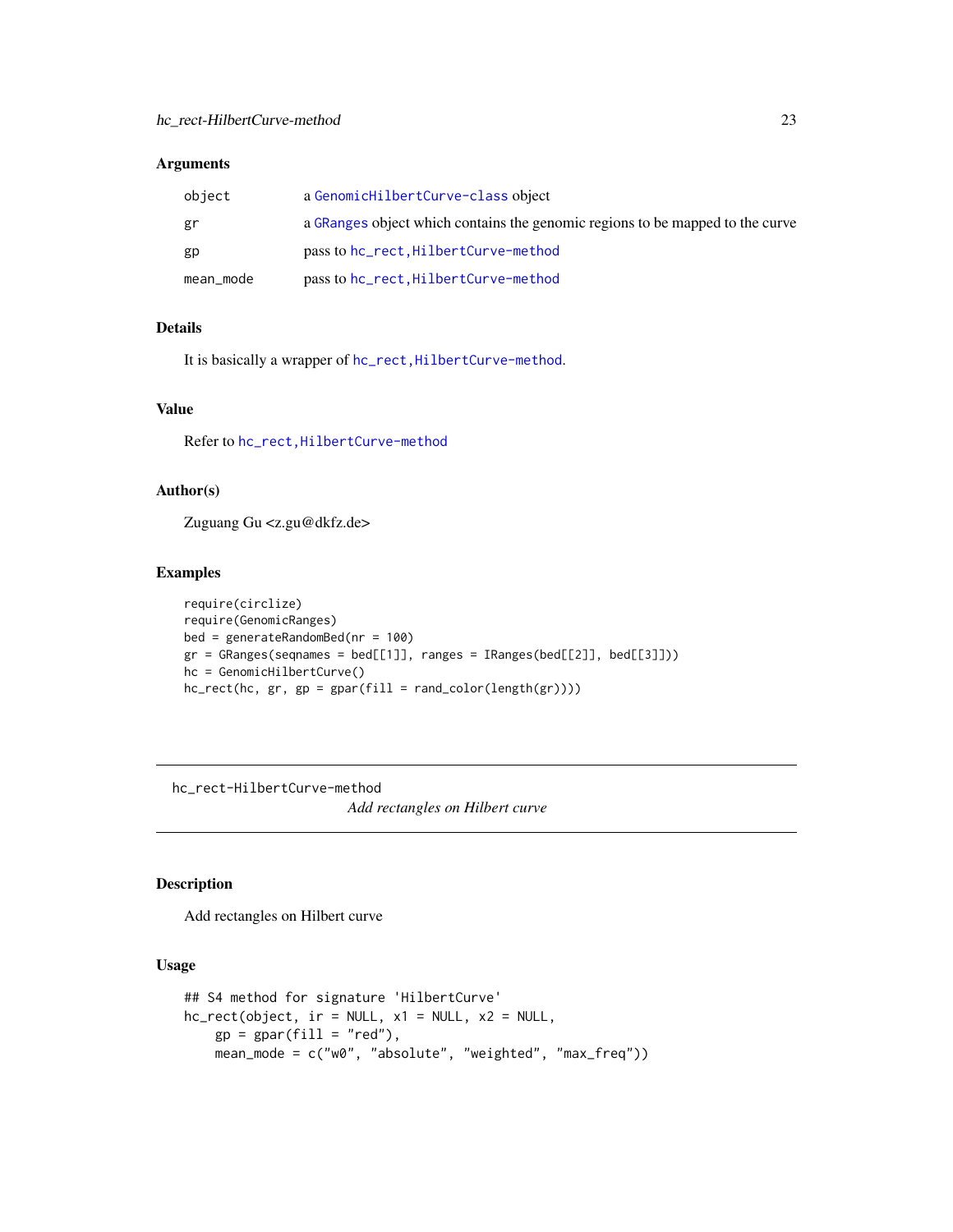## <span id="page-22-0"></span>Arguments

| object    | a GenomicHilbertCurve-class object                                            |
|-----------|-------------------------------------------------------------------------------|
| gr        | a GRanges object which contains the genomic regions to be mapped to the curve |
| gp        | pass to hc_rect, HilbertCurve-method                                          |
| mean_mode | pass to hc_rect, HilbertCurve-method                                          |

## Details

It is basically a wrapper of hc\_rect, HilbertCurve-method.

## Value

Refer to [hc\\_rect,HilbertCurve-method](#page-0-0)

## Author(s)

Zuguang Gu <z.gu@dkfz.de>

## Examples

```
require(circlize)
require(GenomicRanges)
bed = generateRandomBed(nr = 100)
gr = GRanges(seqnames = bed[[1]], ranges = IRanges(bed[[2]], bed[[3]]))
hc = GenomicHilbertCurve()
hc\_rect(hc, gr, gp = gpar(fill = rand\_color(length(gr))))
```
hc\_rect-HilbertCurve-method

*Add rectangles on Hilbert curve*

## Description

Add rectangles on Hilbert curve

## Usage

```
## S4 method for signature 'HilbertCurve'
hc_rect(object, ir = NULL, x1 = NULL, x2 = NULL,
   gp = gpar(fill = "red"),mean_mode = c("w0", "absolute", "weighted", "max_freq"))
```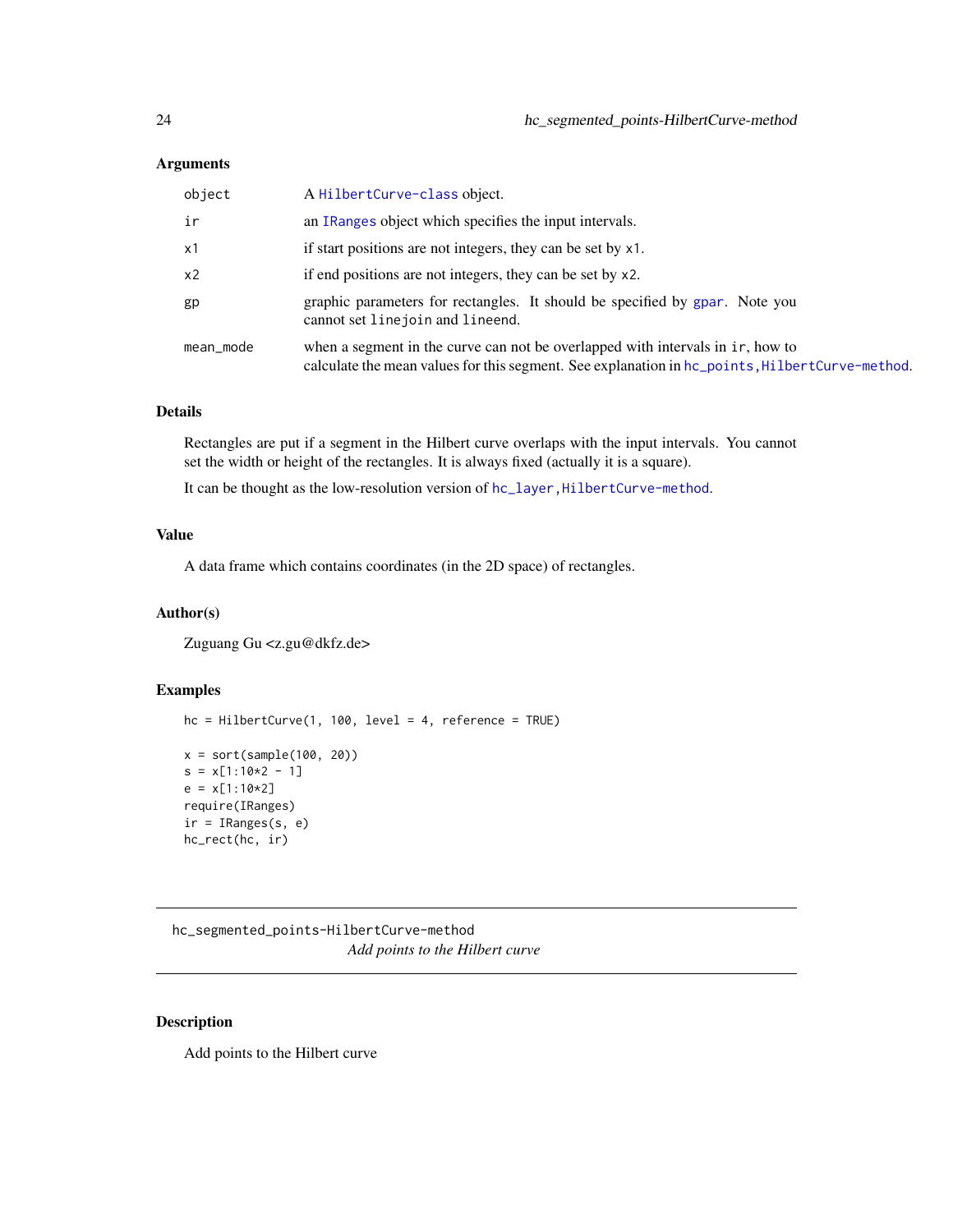## <span id="page-23-0"></span>Arguments

| object         | A HilbertCurve-class object.                                                                                                                                                     |
|----------------|----------------------------------------------------------------------------------------------------------------------------------------------------------------------------------|
| ir             | an IRanges object which specifies the input intervals.                                                                                                                           |
| x1             | if start positions are not integers, they can be set by x1.                                                                                                                      |
| x <sub>2</sub> | if end positions are not integers, they can be set by x2.                                                                                                                        |
| gp             | graphic parameters for rectangles. It should be specified by gpar. Note you<br>cannot set line join and lineend.                                                                 |
| mean_mode      | when a segment in the curve can not be overlapped with intervals in ir, how to<br>calculate the mean values for this segment. See explanation in hc_points, HilbertCurve-method. |

## Details

Rectangles are put if a segment in the Hilbert curve overlaps with the input intervals. You cannot set the width or height of the rectangles. It is always fixed (actually it is a square).

It can be thought as the low-resolution version of hc\_layer, HilbertCurve-method.

## Value

A data frame which contains coordinates (in the 2D space) of rectangles.

## Author(s)

Zuguang Gu <z.gu@dkfz.de>

#### Examples

```
hc = HilbertCurve(1, 100, level = 4, reference = TRUE)
x = sort(sample(100, 20))s = x[1:10*2 - 1]e = x[1:10*2]require(IRanges)
ir = IRanges(s, e)
hc_rect(hc, ir)
```
hc\_segmented\_points-HilbertCurve-method *Add points to the Hilbert curve*

#### Description

Add points to the Hilbert curve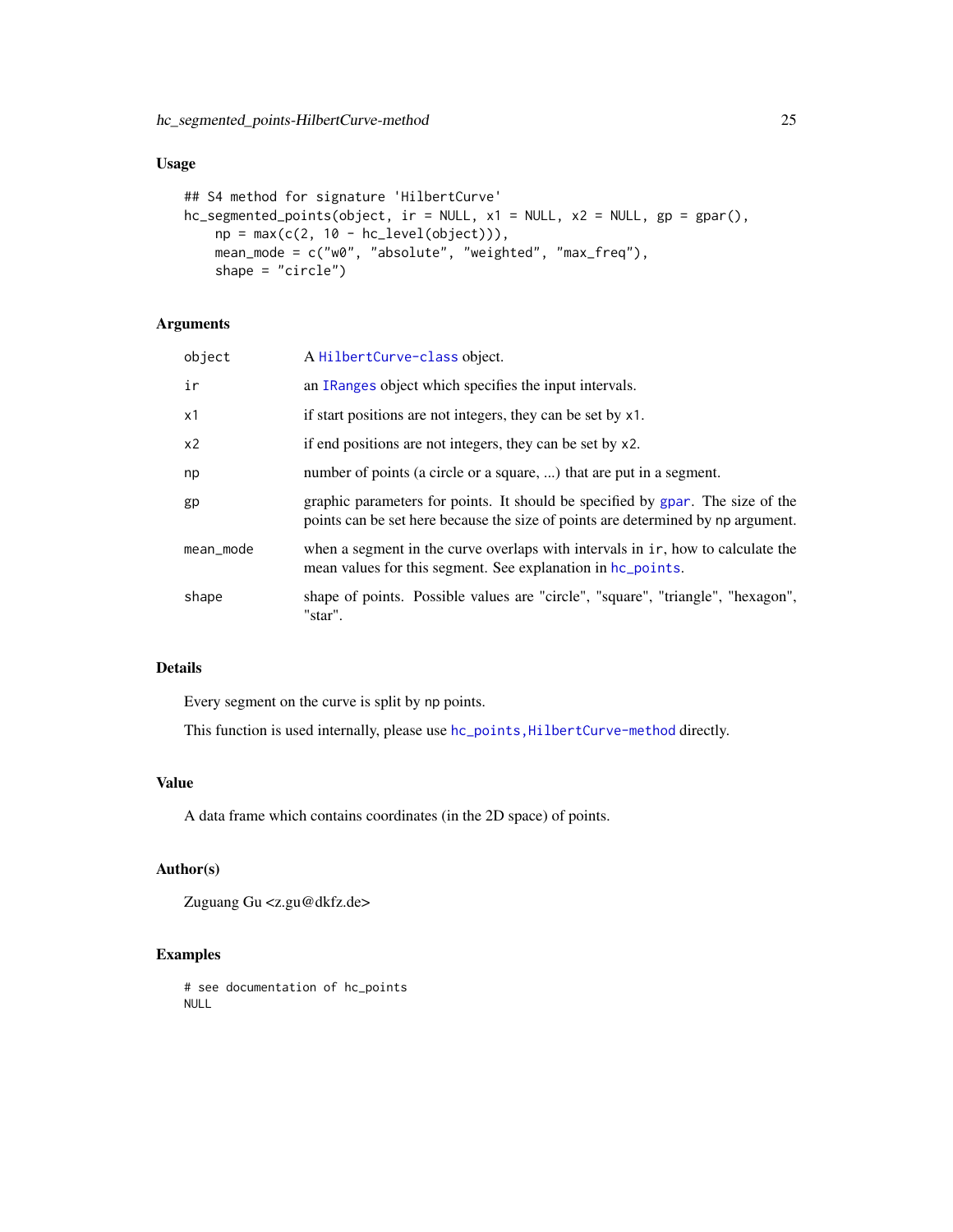## <span id="page-24-0"></span>Usage

```
## S4 method for signature 'HilbertCurve'
hc_segmented_points(object, ir = NULL, x1 = NULL, x2 = NULL, gp = gpar(),
    np = max(c(2, 10 - hc\_level(object))),mean_mode = c("w0", "absolute", "weighted", "max_freq"),
    shape = "circle")
```
## Arguments

| object         | A HilbertCurve-class object.                                                                                                                                       |
|----------------|--------------------------------------------------------------------------------------------------------------------------------------------------------------------|
| ir             | an IRanges object which specifies the input intervals.                                                                                                             |
| x1             | if start positions are not integers, they can be set by x1.                                                                                                        |
| x <sub>2</sub> | if end positions are not integers, they can be set by x2.                                                                                                          |
| np             | number of points (a circle or a square, ) that are put in a segment.                                                                                               |
| gp             | graphic parameters for points. It should be specified by gpar. The size of the<br>points can be set here because the size of points are determined by np argument. |
| mean_mode      | when a segment in the curve overlaps with intervals in ir, how to calculate the<br>mean values for this segment. See explanation in hc_points.                     |
| shape          | shape of points. Possible values are "circle", "square", "triangle", "hexagon",<br>"star".                                                                         |

## Details

Every segment on the curve is split by np points.

This function is used internally, please use hc\_points, HilbertCurve-method directly.

#### Value

A data frame which contains coordinates (in the 2D space) of points.

## Author(s)

Zuguang Gu <z.gu@dkfz.de>

## Examples

# see documentation of hc\_points NULL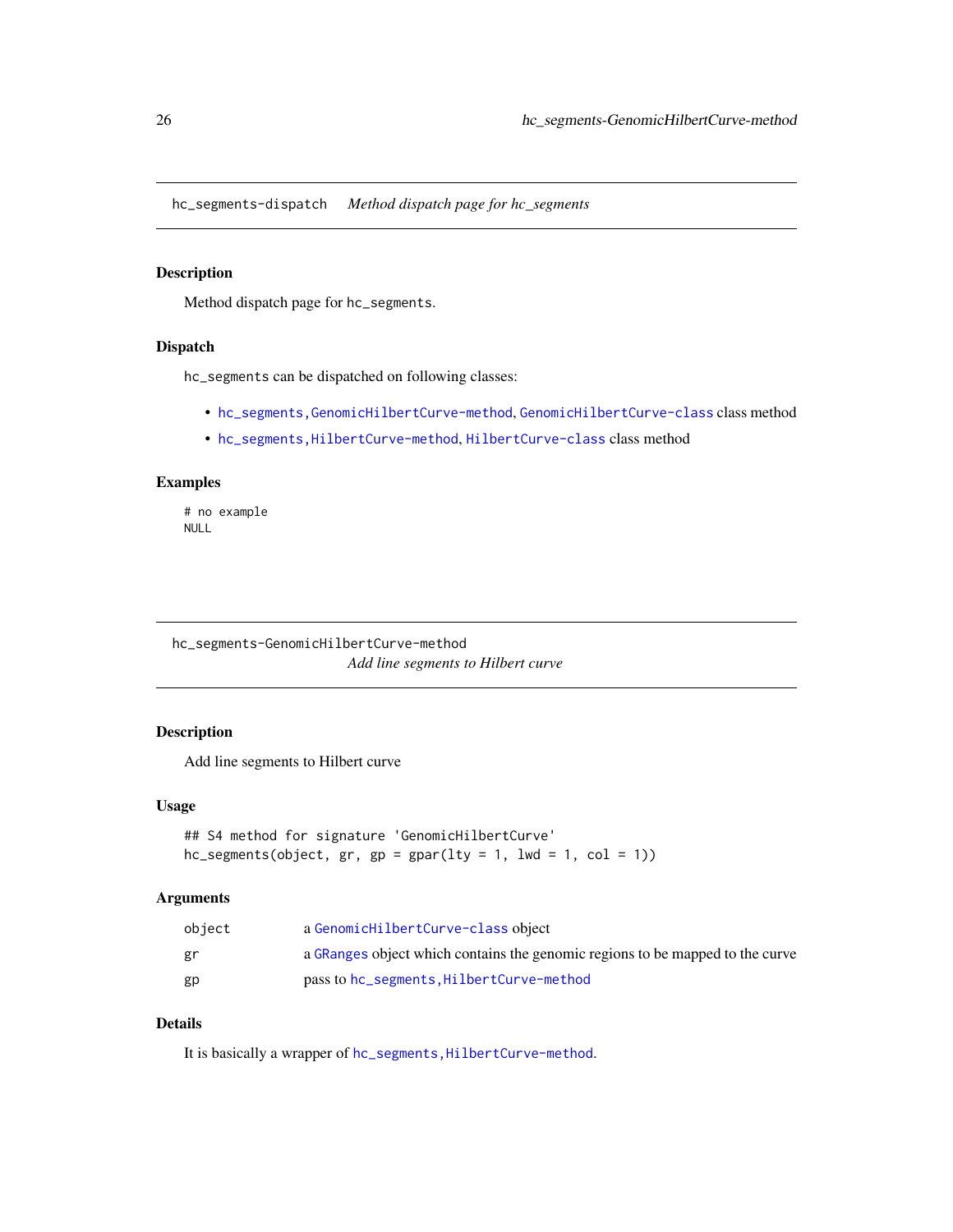<span id="page-25-0"></span>hc\_segments-dispatch *Method dispatch page for hc\_segments*

## Description

Method dispatch page for hc\_segments.

#### Dispatch

hc\_segments can be dispatched on following classes:

- [hc\\_segments,GenomicHilbertCurve-method](#page-0-0), [GenomicHilbertCurve-class](#page-4-1) class method
- [hc\\_segments,HilbertCurve-method](#page-0-0), [HilbertCurve-class](#page-32-1) class method

#### Examples

# no example NULL

hc\_segments-GenomicHilbertCurve-method *Add line segments to Hilbert curve*

## Description

Add line segments to Hilbert curve

## Usage

```
## S4 method for signature 'GenomicHilbertCurve'
hc_segments(object, gr, gp = gpar(lty = 1, lwd = 1, col = 1))
```
## Arguments

| object | a GenomicHilbertCurve-class object                                            |
|--------|-------------------------------------------------------------------------------|
| gr     | a GRanges object which contains the genomic regions to be mapped to the curve |
| gp     | pass to hc_segments, HilbertCurve-method                                      |

## Details

It is basically a wrapper of hc\_segments, HilbertCurve-method.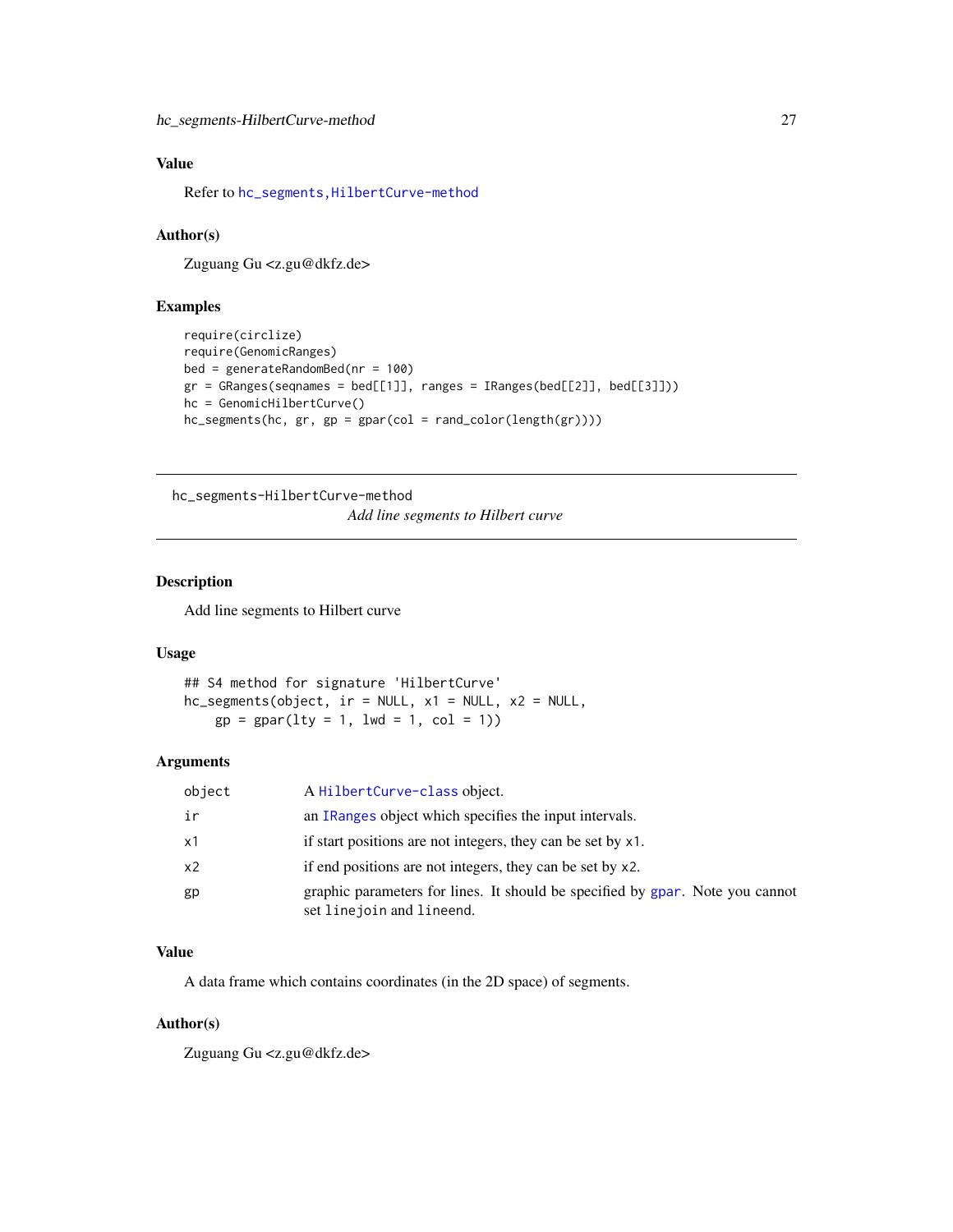## <span id="page-26-0"></span>Value

Refer to [hc\\_segments,HilbertCurve-method](#page-0-0)

## Author(s)

Zuguang Gu <z.gu@dkfz.de>

## Examples

```
require(circlize)
require(GenomicRanges)
bed = generateRandomBed(nr = 100)
gr = GRanges(seqnames = bed[[1]], ranges = IRanges(bed[[2]], bed[[3]]))hc = GenomicHilbertCurve()
hc_segments(hc, gr, gp = gpar(col = rand_color(length(gr))))
```
hc\_segments-HilbertCurve-method

*Add line segments to Hilbert curve*

## Description

Add line segments to Hilbert curve

#### Usage

## S4 method for signature 'HilbertCurve' hc\_segments(object, ir = NULL, x1 = NULL, x2 = NULL,  $gp = gpar(lty = 1, lwd = 1, col = 1))$ 

## Arguments

| object | A Hilbert Curve-class object.                                                                               |
|--------|-------------------------------------------------------------------------------------------------------------|
| ir     | an IRanges object which specifies the input intervals.                                                      |
| x1     | if start positions are not integers, they can be set by x1.                                                 |
| x2     | if end positions are not integers, they can be set by x2.                                                   |
| gp     | graphic parameters for lines. It should be specified by gpar. Note you cannot<br>set line join and lineend. |

#### Value

A data frame which contains coordinates (in the 2D space) of segments.

## Author(s)

Zuguang Gu <z.gu@dkfz.de>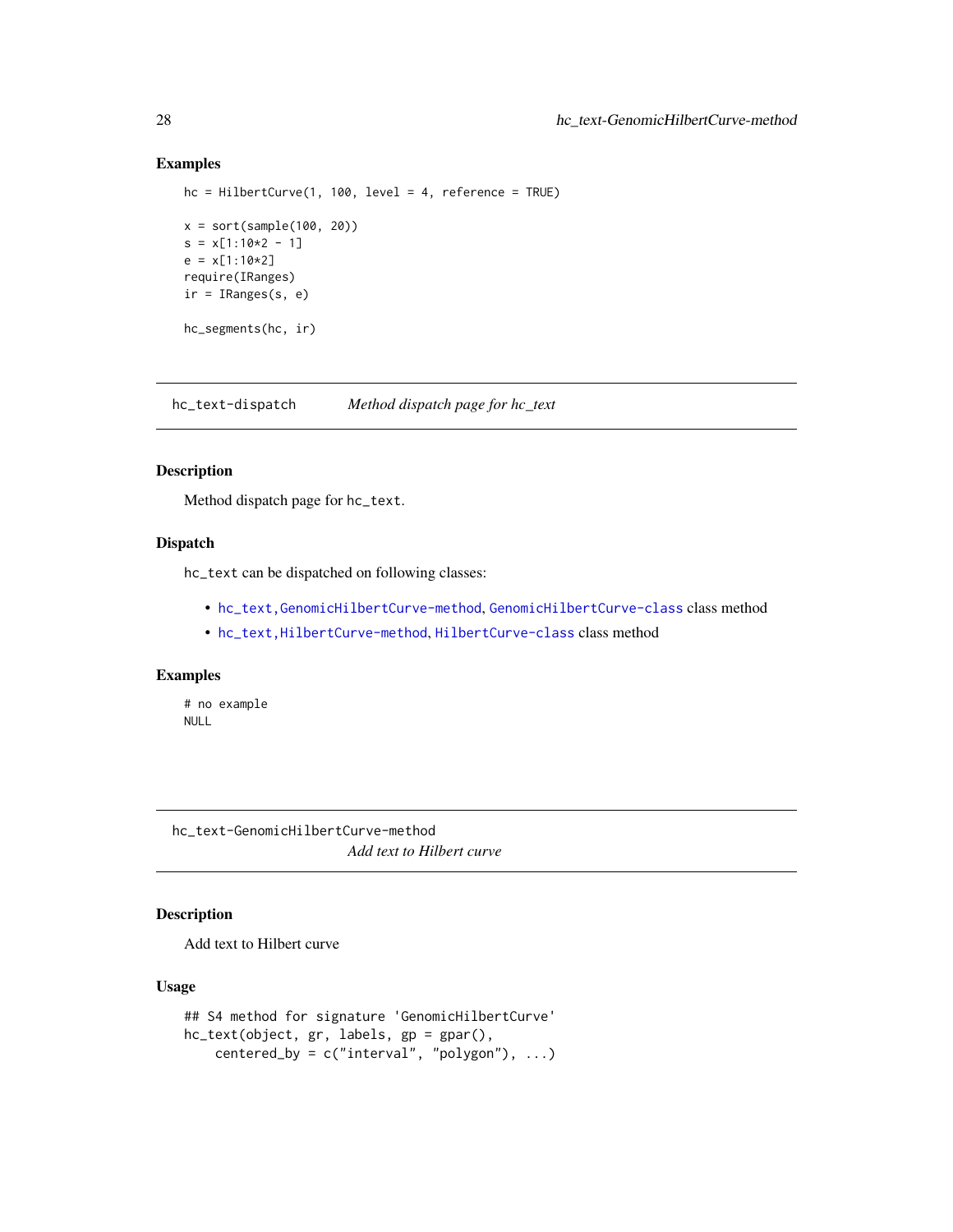## Examples

```
hc = HilbertCurve(1, 100, level = 4, reference = TRUE)
x = sort(sample(100, 20))
s = x[1:10*2 - 1]e = x[1:10*2]require(IRanges)
ir = IRanges(s, e)
hc_segments(hc, ir)
```
hc\_text-dispatch *Method dispatch page for hc\_text*

## Description

Method dispatch page for hc\_text.

## Dispatch

hc\_text can be dispatched on following classes:

- [hc\\_text,GenomicHilbertCurve-method](#page-0-0), [GenomicHilbertCurve-class](#page-4-1) class method
- [hc\\_text,HilbertCurve-method](#page-0-0), [HilbertCurve-class](#page-32-1) class method

## Examples

# no example NULL

hc\_text-GenomicHilbertCurve-method *Add text to Hilbert curve*

## Description

Add text to Hilbert curve

## Usage

```
## S4 method for signature 'GenomicHilbertCurve'
hc_text(object, gr, labels, gp = gpar(),
   centered_by = c("interval", "polygon"), ...)
```
<span id="page-27-0"></span>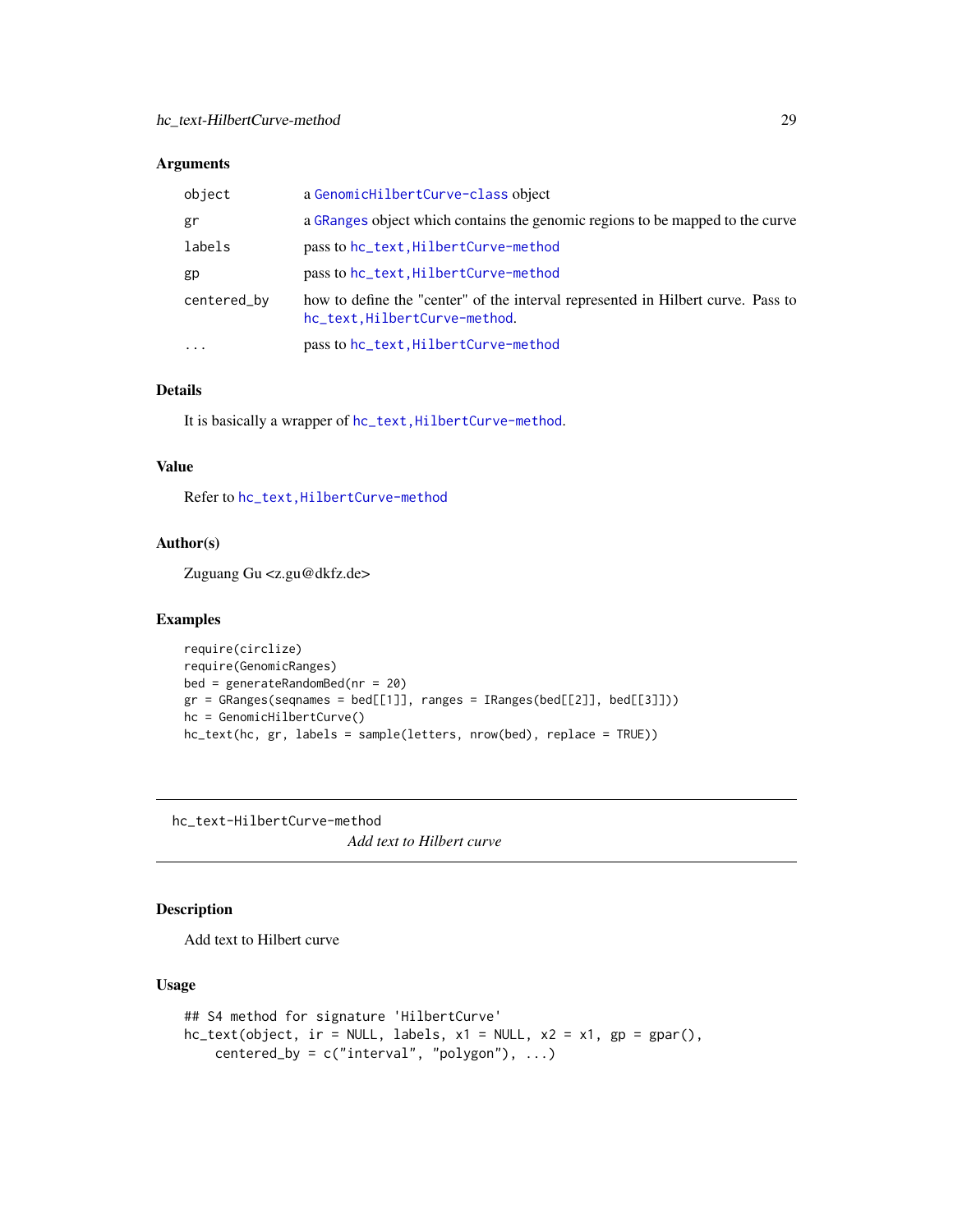#### <span id="page-28-0"></span>Arguments

| object      | a GenomicHilbertCurve-class object                                                                               |
|-------------|------------------------------------------------------------------------------------------------------------------|
| gr          | a GRanges object which contains the genomic regions to be mapped to the curve                                    |
| labels      | pass to hc_text, HilbertCurve-method                                                                             |
| gp          | pass to hc_text, HilbertCurve-method                                                                             |
| centered_by | how to define the "center" of the interval represented in Hilbert curve. Pass to<br>hc_text.HilbertCurve-method. |
| $\cdots$    | pass to hc_text, HilbertCurve-method                                                                             |

#### Details

It is basically a wrapper of hc\_text, HilbertCurve-method.

#### Value

Refer to [hc\\_text,HilbertCurve-method](#page-0-0)

## Author(s)

Zuguang Gu <z.gu@dkfz.de>

#### Examples

```
require(circlize)
require(GenomicRanges)
bed = generateRandomBed(nr = 20)
gr = GRanges(seqnames = bed[[1]], ranges = IRanges(bed[[2]], bed[[3]]))
hc = GenomicHilbertCurve()
hc_text(hc, gr, labels = sample(letters, nrow(bed), replace = TRUE))
```
hc\_text-HilbertCurve-method *Add text to Hilbert curve*

## Description

Add text to Hilbert curve

## Usage

```
## S4 method for signature 'HilbertCurve'
hc\_text(object, ir = NULL, labels, x1 = NULL, x2 = x1, gp = gpar(),centered_by = c("interval", "polygon"), ...)
```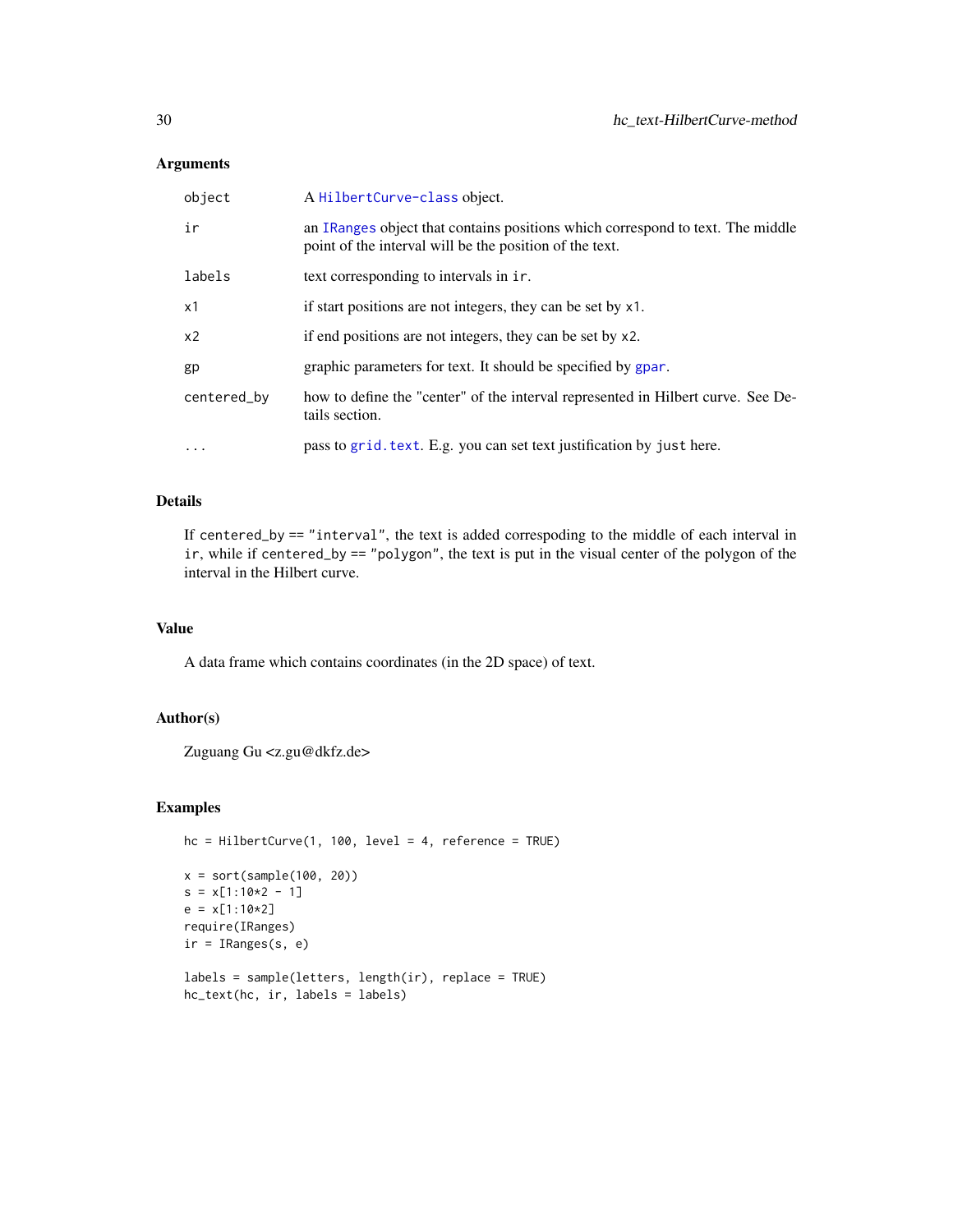## Arguments

| object         | A Hilbert Curve-class object.                                                                                                             |
|----------------|-------------------------------------------------------------------------------------------------------------------------------------------|
| ir             | an IRanges object that contains positions which correspond to text. The middle<br>point of the interval will be the position of the text. |
| labels         | text corresponding to intervals in ir.                                                                                                    |
| x1             | if start positions are not integers, they can be set by x1.                                                                               |
| x <sub>2</sub> | if end positions are not integers, they can be set by x2.                                                                                 |
| gp             | graphic parameters for text. It should be specified by gpar.                                                                              |
| centered_by    | how to define the "center" of the interval represented in Hilbert curve. See De-<br>tails section.                                        |
| $\cdots$       | pass to grid. text. E.g. you can set text justification by just here.                                                                     |

## Details

If centered\_by == "interval", the text is added correspoding to the middle of each interval in ir, while if centered\_by == "polygon", the text is put in the visual center of the polygon of the interval in the Hilbert curve.

#### Value

A data frame which contains coordinates (in the 2D space) of text.

#### Author(s)

Zuguang Gu <z.gu@dkfz.de>

#### Examples

```
hc = HilbertCurve(1, 100, level = 4, reference = TRUE)x = sort(sample(100, 20))s = x[1:10*2 - 1]e = x[1:10*2]require(IRanges)
ir = IRanges(s, e)labels = sample(letters, length(ir), replace = TRUE)
hc_text(hc, ir, labels = labels)
```
<span id="page-29-0"></span>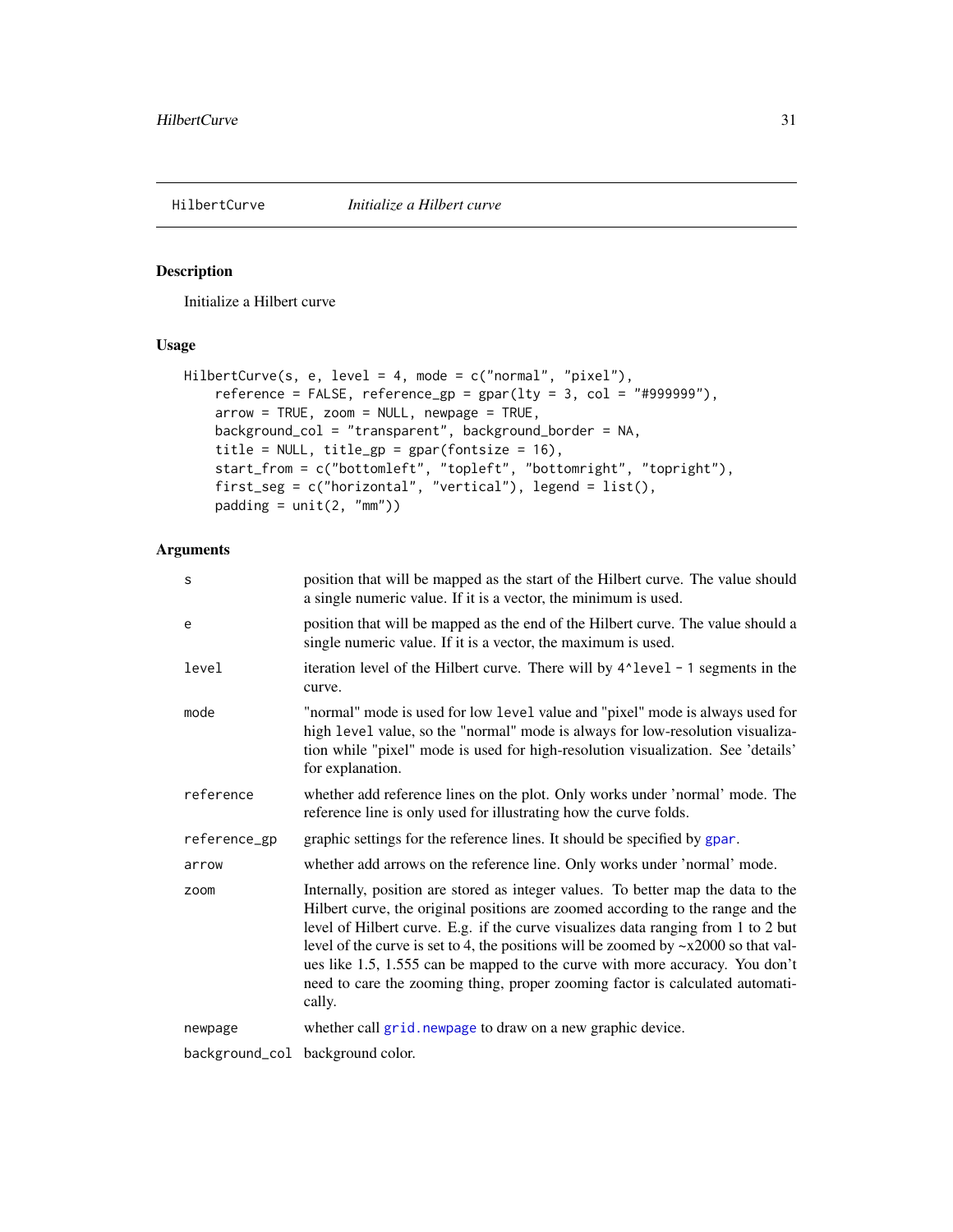<span id="page-30-1"></span><span id="page-30-0"></span>

## Description

Initialize a Hilbert curve

#### Usage

```
HilbertCurve(s, e, level = 4, mode = c("normal", "pixel"),
   reference = FALSE, reference\_gp = gap(1ty = 3, col = "#999999"),arrow = TRUE, zoom = NULL, newpage = TRUE,
   background_col = "transparent", background_border = NA,
    title = NULL, title_gp = gpar(fontsize = 16),
    start_from = c("bottomleft", "topleft", "bottomright", "topright"),
    first_seg = c("horizontal", "vertical"), legend = list(),
   padding = unit(2, "mm")
```
## Arguments

| S            | position that will be mapped as the start of the Hilbert curve. The value should<br>a single numeric value. If it is a vector, the minimum is used.                                                                                                                                                                                                                                                                                                                                                                          |
|--------------|------------------------------------------------------------------------------------------------------------------------------------------------------------------------------------------------------------------------------------------------------------------------------------------------------------------------------------------------------------------------------------------------------------------------------------------------------------------------------------------------------------------------------|
| e            | position that will be mapped as the end of the Hilbert curve. The value should a<br>single numeric value. If it is a vector, the maximum is used.                                                                                                                                                                                                                                                                                                                                                                            |
| level        | iteration level of the Hilbert curve. There will by 4^1evel - 1 segments in the<br>curve.                                                                                                                                                                                                                                                                                                                                                                                                                                    |
| mode         | "normal" mode is used for low level value and "pixel" mode is always used for<br>high level value, so the "normal" mode is always for low-resolution visualiza-<br>tion while "pixel" mode is used for high-resolution visualization. See 'details'<br>for explanation.                                                                                                                                                                                                                                                      |
| reference    | whether add reference lines on the plot. Only works under 'normal' mode. The<br>reference line is only used for illustrating how the curve folds.                                                                                                                                                                                                                                                                                                                                                                            |
| reference_gp | graphic settings for the reference lines. It should be specified by gpar.                                                                                                                                                                                                                                                                                                                                                                                                                                                    |
| arrow        | whether add arrows on the reference line. Only works under 'normal' mode.                                                                                                                                                                                                                                                                                                                                                                                                                                                    |
| zoom         | Internally, position are stored as integer values. To better map the data to the<br>Hilbert curve, the original positions are zoomed according to the range and the<br>level of Hilbert curve. E.g. if the curve visualizes data ranging from 1 to 2 but<br>level of the curve is set to 4, the positions will be zoomed by $-x2000$ so that val-<br>ues like 1.5, 1.555 can be mapped to the curve with more accuracy. You don't<br>need to care the zooming thing, proper zooming factor is calculated automati-<br>cally. |
| newpage      | whether call grid. newpage to draw on a new graphic device.                                                                                                                                                                                                                                                                                                                                                                                                                                                                  |
|              | background_col background color.                                                                                                                                                                                                                                                                                                                                                                                                                                                                                             |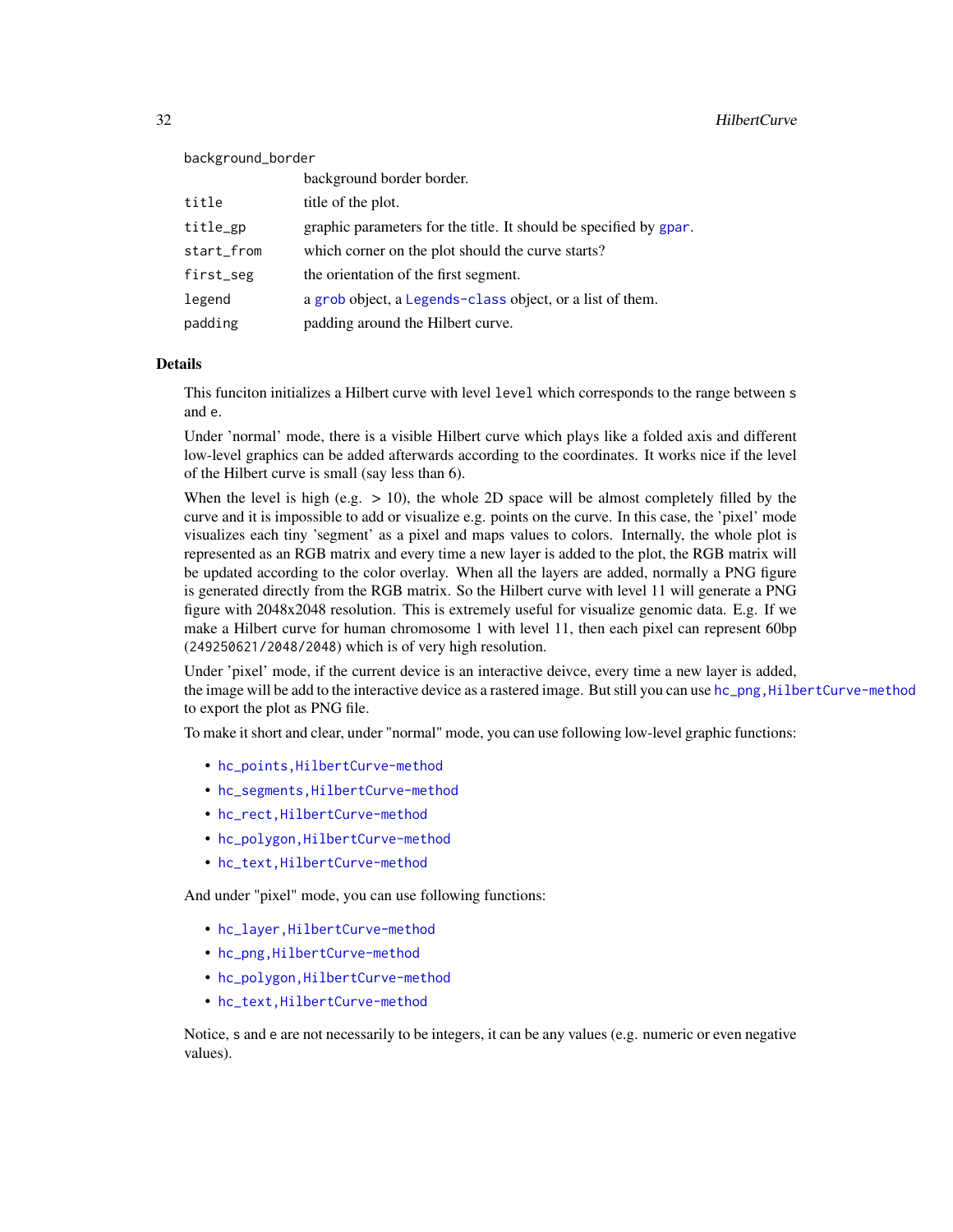<span id="page-31-0"></span>32 HilbertCurve

background\_border

|            | background border border.                                         |
|------------|-------------------------------------------------------------------|
| title      | title of the plot.                                                |
| title_gp   | graphic parameters for the title. It should be specified by gpar. |
| start_from | which corner on the plot should the curve starts?                 |
| first_seg  | the orientation of the first segment.                             |
| legend     | a grob object, a Legends-class object, or a list of them.         |
| padding    | padding around the Hilbert curve.                                 |

#### Details

This funciton initializes a Hilbert curve with level level which corresponds to the range between s and e.

Under 'normal' mode, there is a visible Hilbert curve which plays like a folded axis and different low-level graphics can be added afterwards according to the coordinates. It works nice if the level of the Hilbert curve is small (say less than 6).

When the level is high (e.g.  $> 10$ ), the whole 2D space will be almost completely filled by the curve and it is impossible to add or visualize e.g. points on the curve. In this case, the 'pixel' mode visualizes each tiny 'segment' as a pixel and maps values to colors. Internally, the whole plot is represented as an RGB matrix and every time a new layer is added to the plot, the RGB matrix will be updated according to the color overlay. When all the layers are added, normally a PNG figure is generated directly from the RGB matrix. So the Hilbert curve with level 11 will generate a PNG figure with 2048x2048 resolution. This is extremely useful for visualize genomic data. E.g. If we make a Hilbert curve for human chromosome 1 with level 11, then each pixel can represent 60bp (249250621/2048/2048) which is of very high resolution.

Under 'pixel' mode, if the current device is an interactive deivce, every time a new layer is added, the image will be add to the interactive device as a rastered image. But still you can use [hc\\_png,HilbertCurve-method](#page-0-0) to export the plot as PNG file.

To make it short and clear, under "normal" mode, you can use following low-level graphic functions:

- [hc\\_points,HilbertCurve-method](#page-0-0)
- [hc\\_segments,HilbertCurve-method](#page-0-0)
- [hc\\_rect,HilbertCurve-method](#page-0-0)
- [hc\\_polygon,HilbertCurve-method](#page-0-0)
- [hc\\_text,HilbertCurve-method](#page-0-0)

And under "pixel" mode, you can use following functions:

- [hc\\_layer,HilbertCurve-method](#page-0-0)
- [hc\\_png,HilbertCurve-method](#page-0-0)
- [hc\\_polygon,HilbertCurve-method](#page-0-0)
- [hc\\_text,HilbertCurve-method](#page-0-0)

Notice, s and e are not necessarily to be integers, it can be any values (e.g. numeric or even negative values).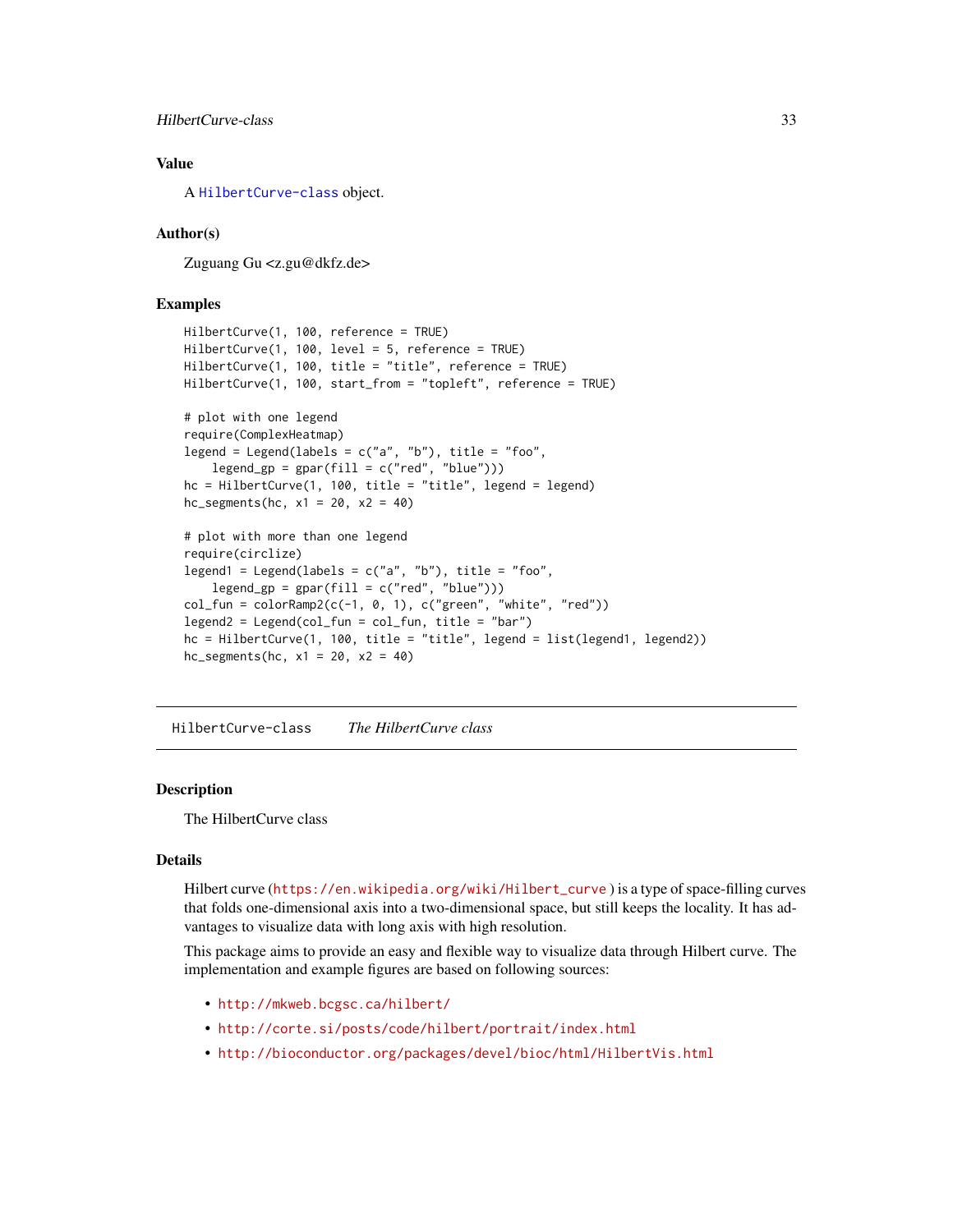## <span id="page-32-0"></span>HilbertCurve-class 33

## Value

A [HilbertCurve-class](#page-32-1) object.

## Author(s)

Zuguang Gu <z.gu@dkfz.de>

#### Examples

```
HilbertCurve(1, 100, reference = TRUE)
HilbertCurve(1, 100, level = 5, reference = TRUE)
HilbertCurve(1, 100, title = "title", reference = TRUE)
HilbertCurve(1, 100, start_from = "topleft", reference = TRUE)
# plot with one legend
require(ComplexHeatmap)
legend = Legend(labels = c("a", "b"), title = "foo",
    legend_sp = gpar(fill = c("red", "blue"))hc = HilbertCurve(1, 100, title = "title", legend = legend)
hc_segments(hc, x1 = 20, x2 = 40)
# plot with more than one legend
require(circlize)
legend1 = Legend(labels = c("a", "b"), title = "foo",
    legend_sp = gpar(fill = c("red", "blue"))col_fun = colorRamp2(c(-1, 0, 1), c("green", "white", "red"))legend2 = Legend(col_fun = col_fun, title = "bar")
hc = HilbertCurve(1, 100, title = "title", legend = list(legend1, legend2))
hc_segments(hc, x1 = 20, x2 = 40)
```
<span id="page-32-1"></span>HilbertCurve-class *The HilbertCurve class*

## **Description**

The HilbertCurve class

## Details

Hilbert curve ([https://en.wikipedia.org/wiki/Hilbert\\_curve](https://en.wikipedia.org/wiki/Hilbert_curve) ) is a type of space-filling curves that folds one-dimensional axis into a two-dimensional space, but still keeps the locality. It has advantages to visualize data with long axis with high resolution.

This package aims to provide an easy and flexible way to visualize data through Hilbert curve. The implementation and example figures are based on following sources:

- <http://mkweb.bcgsc.ca/hilbert/>
- <http://corte.si/posts/code/hilbert/portrait/index.html>
- <http://bioconductor.org/packages/devel/bioc/html/HilbertVis.html>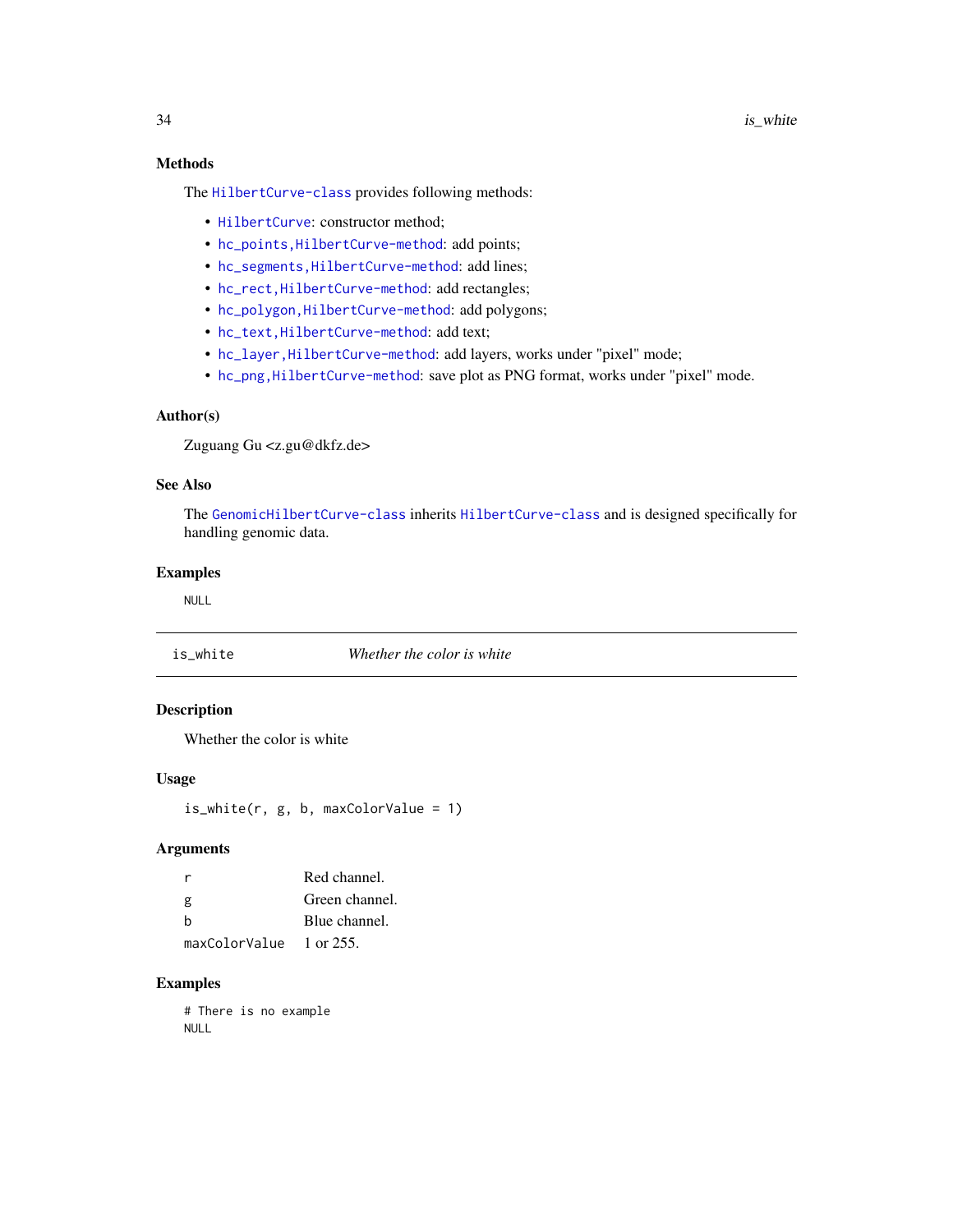## <span id="page-33-0"></span>Methods

The [HilbertCurve-class](#page-32-1) provides following methods:

- [HilbertCurve](#page-30-1): constructor method;
- hc\_points, HilbertCurve-method: add points;
- [hc\\_segments,HilbertCurve-method](#page-0-0): add lines;
- [hc\\_rect,HilbertCurve-method](#page-0-0): add rectangles;
- [hc\\_polygon,HilbertCurve-method](#page-0-0): add polygons;
- [hc\\_text,HilbertCurve-method](#page-0-0): add text;
- [hc\\_layer,HilbertCurve-method](#page-0-0): add layers, works under "pixel" mode;
- [hc\\_png,HilbertCurve-method](#page-0-0): save plot as PNG format, works under "pixel" mode.

## Author(s)

Zuguang Gu <z.gu@dkfz.de>

#### See Also

The [GenomicHilbertCurve-class](#page-4-1) inherits [HilbertCurve-class](#page-32-1) and is designed specifically for handling genomic data.

## Examples

NULL

is\_white *Whether the color is white*

## Description

Whether the color is white

## Usage

 $is\_white(r, g, b, maxColorValue = 1)$ 

## Arguments

|                                          | Red channel.   |
|------------------------------------------|----------------|
| g                                        | Green channel. |
| h                                        | Blue channel.  |
| $maxColorValue \quad 1 \text{ or } 255.$ |                |

## Examples

# There is no example NULL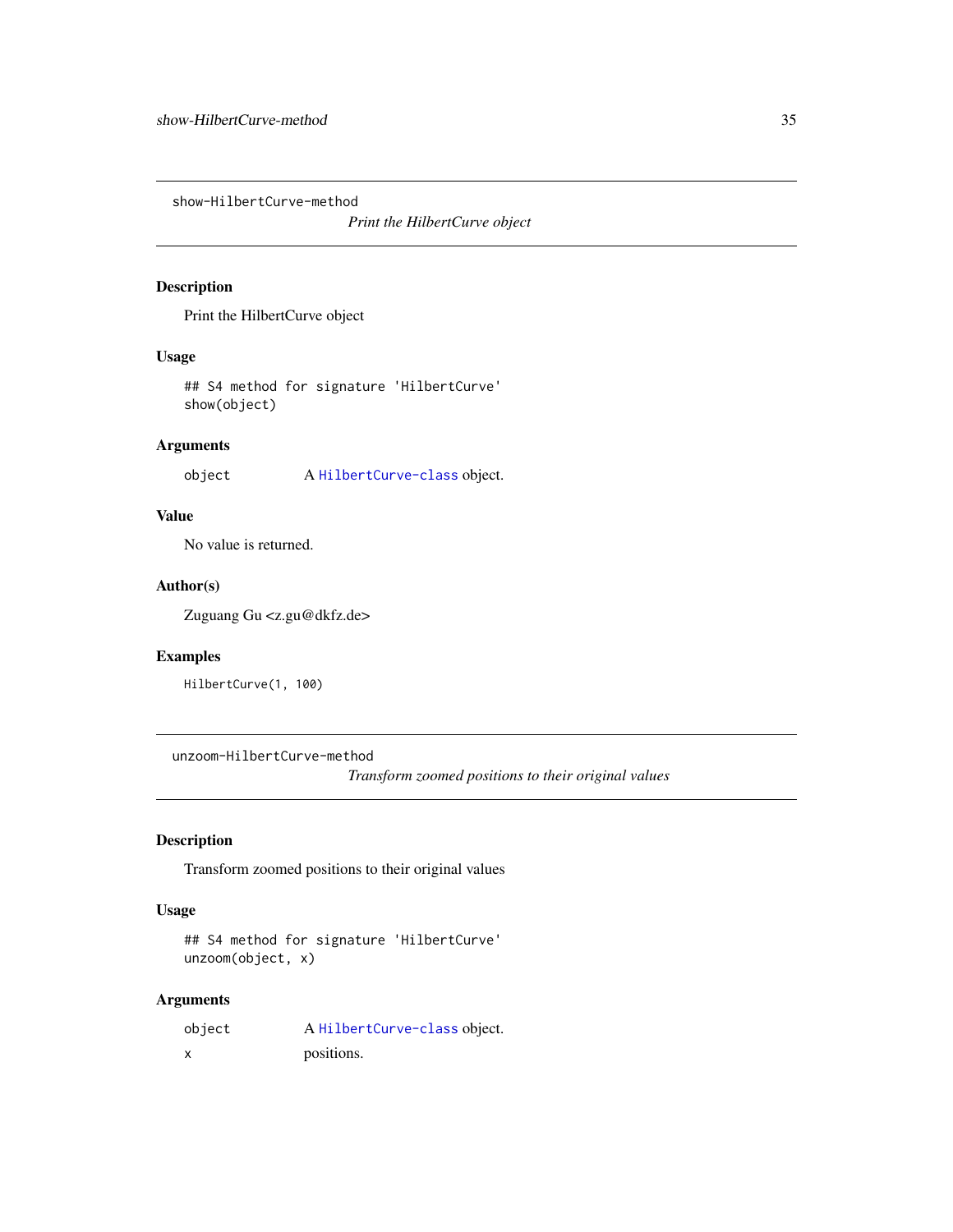<span id="page-34-0"></span>show-HilbertCurve-method

*Print the HilbertCurve object*

#### Description

Print the HilbertCurve object

#### Usage

## S4 method for signature 'HilbertCurve' show(object)

## Arguments

object A [HilbertCurve-class](#page-32-1) object.

## Value

No value is returned.

## Author(s)

Zuguang Gu <z.gu@dkfz.de>

#### Examples

HilbertCurve(1, 100)

unzoom-HilbertCurve-method

*Transform zoomed positions to their original values*

### Description

Transform zoomed positions to their original values

#### Usage

```
## S4 method for signature 'HilbertCurve'
unzoom(object, x)
```
## Arguments

| object | A HilbertCurve-class object. |
|--------|------------------------------|
|        | positions.                   |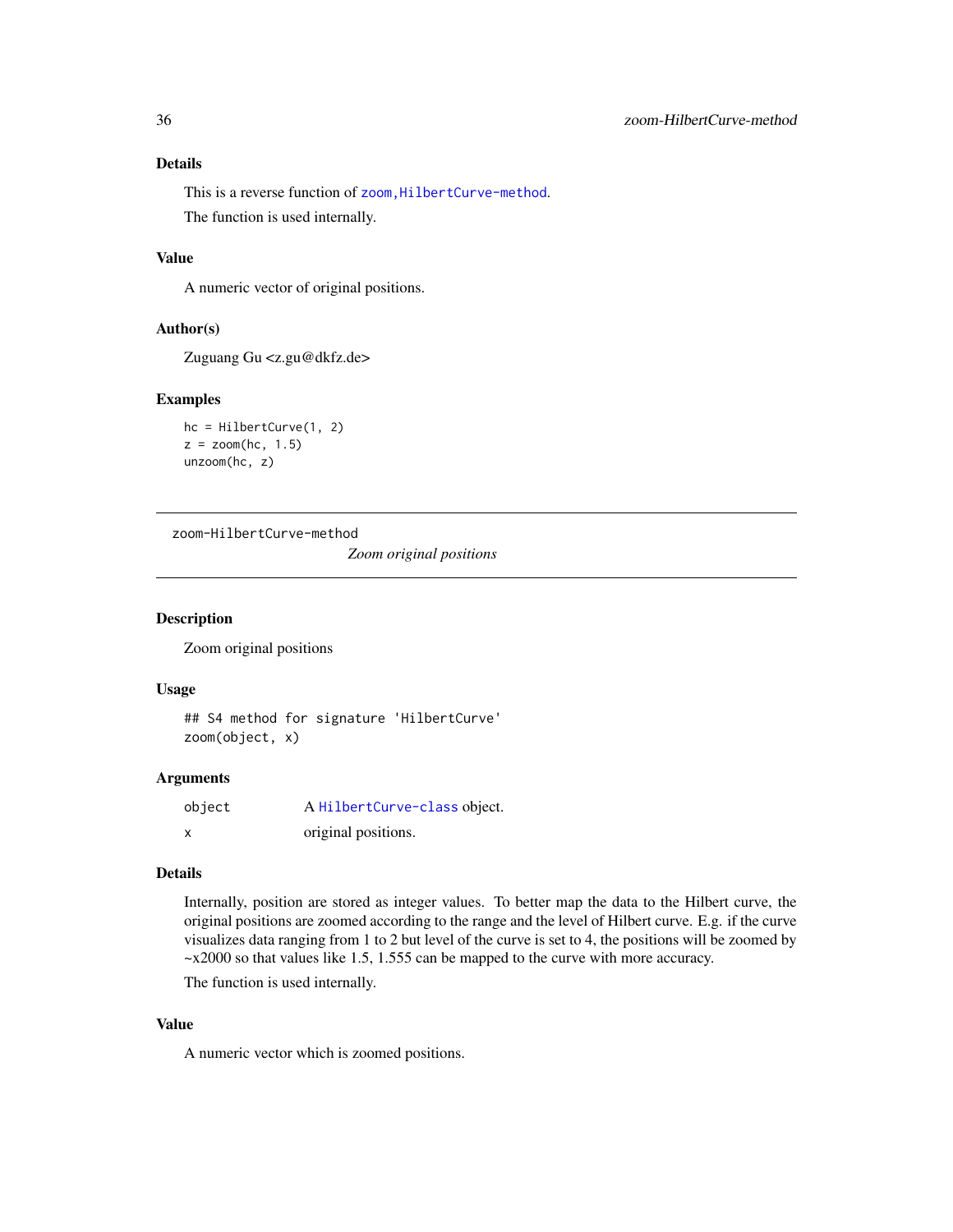## <span id="page-35-0"></span>Details

This is a reverse function of zoom, HilbertCurve-method. The function is used internally.

#### Value

A numeric vector of original positions.

#### Author(s)

Zuguang Gu <z.gu@dkfz.de>

#### Examples

```
hc = HilbertCurve(1, 2)
z = zoom(hc, 1.5)
unzoom(hc, z)
```
zoom-HilbertCurve-method

*Zoom original positions*

#### Description

Zoom original positions

#### Usage

```
## S4 method for signature 'HilbertCurve'
zoom(object, x)
```
#### Arguments

| object | A HilbertCurve-class object. |
|--------|------------------------------|
| X      | original positions.          |

#### Details

Internally, position are stored as integer values. To better map the data to the Hilbert curve, the original positions are zoomed according to the range and the level of Hilbert curve. E.g. if the curve visualizes data ranging from 1 to 2 but level of the curve is set to 4, the positions will be zoomed by ~x2000 so that values like 1.5, 1.555 can be mapped to the curve with more accuracy.

The function is used internally.

## Value

A numeric vector which is zoomed positions.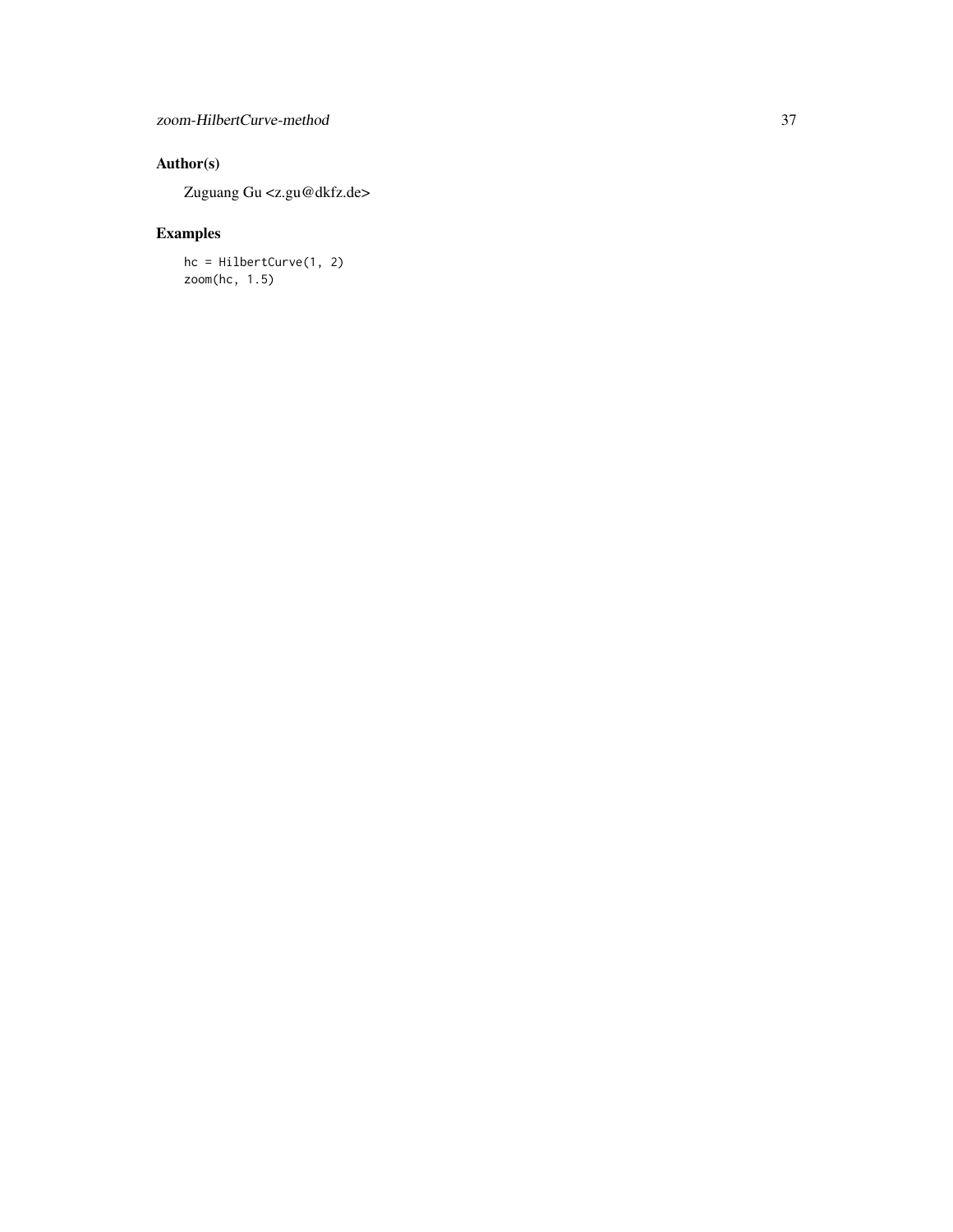## Author(s)

Zuguang Gu <z.gu@dkfz.de>

## Examples

hc = HilbertCurve(1, 2)  $z$ oom(hc, 1.5)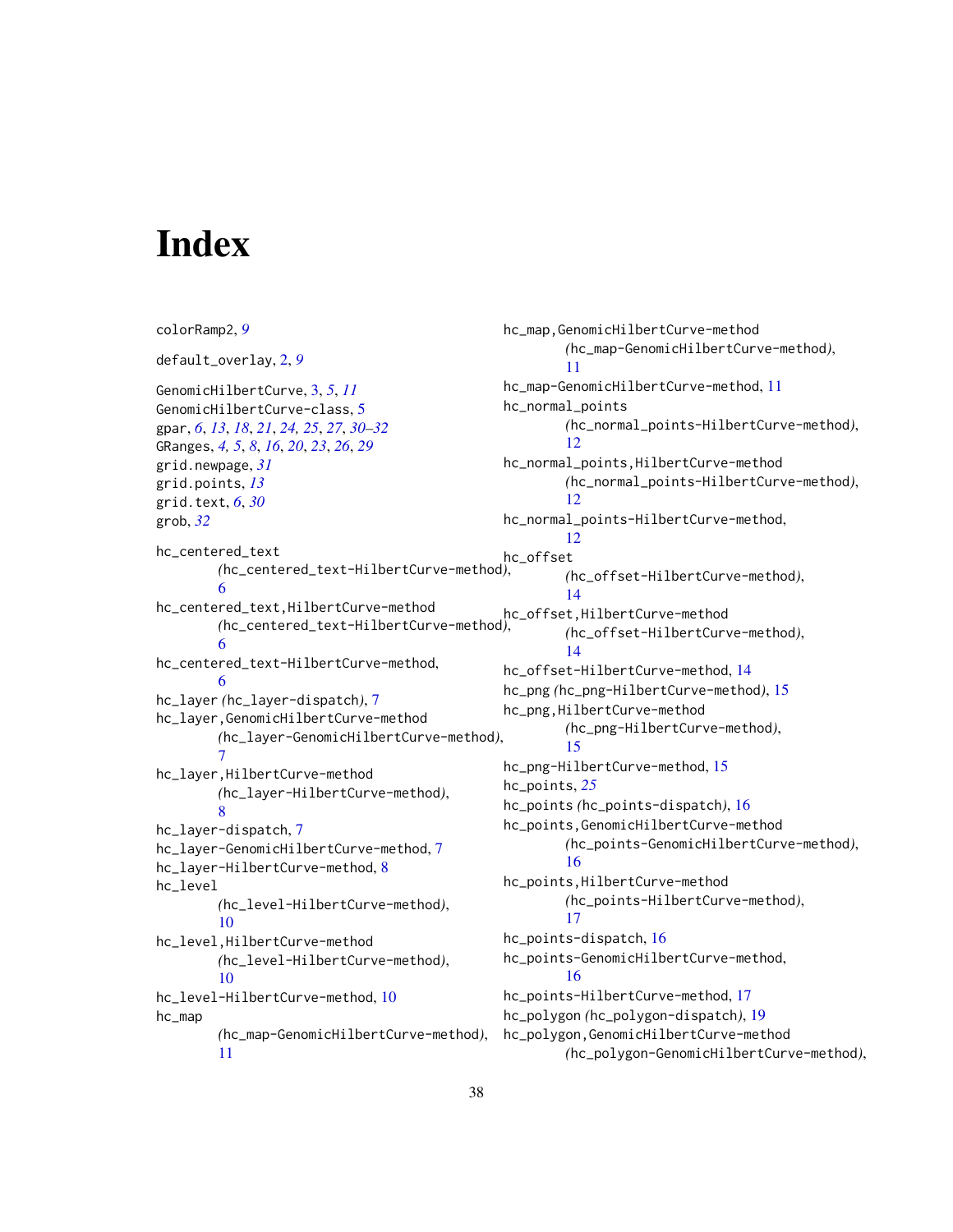# <span id="page-37-0"></span>**Index**

colorRamp2, *[9](#page-8-0)* default\_overlay, [2,](#page-1-0) *[9](#page-8-0)* GenomicHilbertCurve, [3,](#page-2-0) *[5](#page-4-0)*, *[11](#page-10-0)* GenomicHilbertCurve-class, [5](#page-4-0) gpar, *[6](#page-5-0)*, *[13](#page-12-0)*, *[18](#page-17-0)*, *[21](#page-20-0)*, *[24,](#page-23-0) [25](#page-24-0)*, *[27](#page-26-0)*, *[30–](#page-29-0)[32](#page-31-0)* GRanges, *[4,](#page-3-0) [5](#page-4-0)*, *[8](#page-7-0)*, *[16](#page-15-0)*, *[20](#page-19-0)*, *[23](#page-22-0)*, *[26](#page-25-0)*, *[29](#page-28-0)* grid.newpage, *[31](#page-30-0)* grid.points, *[13](#page-12-0)* grid.text, *[6](#page-5-0)*, *[30](#page-29-0)* grob, *[32](#page-31-0)* hc\_centered\_text *(*hc\_centered\_text-HilbertCurve-method*)*, [6](#page-5-0) hc\_centered\_text,HilbertCurve-method *(*hc\_centered\_text-HilbertCurve-method*)*, hc\_offset,HilbertCurve-method [6](#page-5-0) hc\_centered\_text-HilbertCurve-method, [6](#page-5-0) hc\_layer *(*hc\_layer-dispatch*)*, [7](#page-6-0) hc\_layer,GenomicHilbertCurve-method *(*hc\_layer-GenomicHilbertCurve-method*)*, [7](#page-6-0) hc\_layer,HilbertCurve-method *(*hc\_layer-HilbertCurve-method*)*, [8](#page-7-0) hc\_layer-dispatch, [7](#page-6-0) hc\_layer-GenomicHilbertCurve-method, [7](#page-6-0) hc\_layer-HilbertCurve-method, [8](#page-7-0) hc\_level *(*hc\_level-HilbertCurve-method*)*, [10](#page-9-0) hc\_level,HilbertCurve-method *(*hc\_level-HilbertCurve-method*)*, [10](#page-9-0) hc\_level-HilbertCurve-method, [10](#page-9-0) hc\_map *(*hc\_map-GenomicHilbertCurve-method*)*, [11](#page-10-0) hc\_map,GenomicHilbertCurve-method *(*hc\_map-GenomicHilbertCurve-method*)*, [11](#page-10-0) hc\_map-GenomicHilbertCurve-method, [11](#page-10-0) hc\_normal\_points *(*hc\_normal\_points-HilbertCurve-method*)*, [12](#page-11-0) hc\_normal\_points,HilbertCurve-method *(*hc\_normal\_points-HilbertCurve-method*)*, [12](#page-11-0) hc\_normal\_points-HilbertCurve-method,  $12$ hc\_offset *(*hc\_offset-HilbertCurve-method*)*, [14](#page-13-0) *(*hc\_offset-HilbertCurve-method*)*, [14](#page-13-0) hc\_offset-HilbertCurve-method, [14](#page-13-0) hc\_png *(*hc\_png-HilbertCurve-method*)*, [15](#page-14-0) hc\_png,HilbertCurve-method *(*hc\_png-HilbertCurve-method*)*, [15](#page-14-0) hc\_png-HilbertCurve-method, [15](#page-14-0) hc\_points, *[25](#page-24-0)* hc\_points *(*hc\_points-dispatch*)*, [16](#page-15-0) hc\_points,GenomicHilbertCurve-method *(*hc\_points-GenomicHilbertCurve-method*)*, [16](#page-15-0) hc\_points,HilbertCurve-method *(*hc\_points-HilbertCurve-method*)*, [17](#page-16-0) hc\_points-dispatch, [16](#page-15-0) hc\_points-GenomicHilbertCurve-method, [16](#page-15-0) hc\_points-HilbertCurve-method, [17](#page-16-0) hc\_polygon *(*hc\_polygon-dispatch*)*, [19](#page-18-0) hc\_polygon,GenomicHilbertCurve-method *(*hc\_polygon-GenomicHilbertCurve-method*)*,